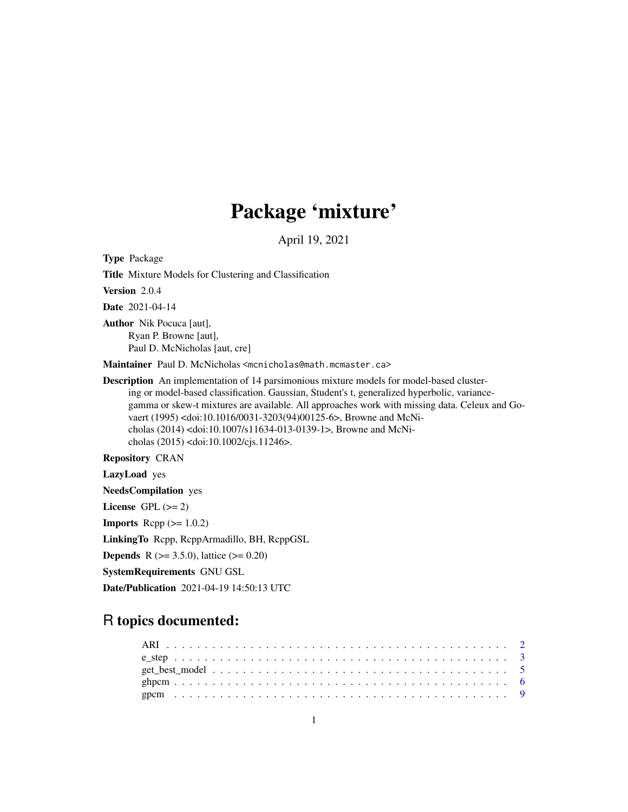## Package 'mixture'

April 19, 2021

Type Package Title Mixture Models for Clustering and Classification Version 2.0.4 Date 2021-04-14 Author Nik Pocuca [aut], Ryan P. Browne [aut], Paul D. McNicholas [aut, cre] Maintainer Paul D. McNicholas <mcnicholas@math.mcmaster.ca> Description An implementation of 14 parsimonious mixture models for model-based clustering or model-based classification. Gaussian, Student's t, generalized hyperbolic, variancegamma or skew-t mixtures are available. All approaches work with missing data. Celeux and Govaert (1995) <doi:10.1016/0031-3203(94)00125-6>, Browne and McNicholas (2014) <doi:10.1007/s11634-013-0139-1>, Browne and McNicholas (2015) <doi:10.1002/cjs.11246>. Repository CRAN

LazyLoad yes

NeedsCompilation yes

License GPL  $(>= 2)$ 

**Imports** Rcpp  $(>= 1.0.2)$ 

LinkingTo Rcpp, RcppArmadillo, BH, RcppGSL

**Depends** R ( $>= 3.5.0$ ), lattice ( $>= 0.20$ )

SystemRequirements GNU GSL

Date/Publication 2021-04-19 14:50:13 UTC

## R topics documented: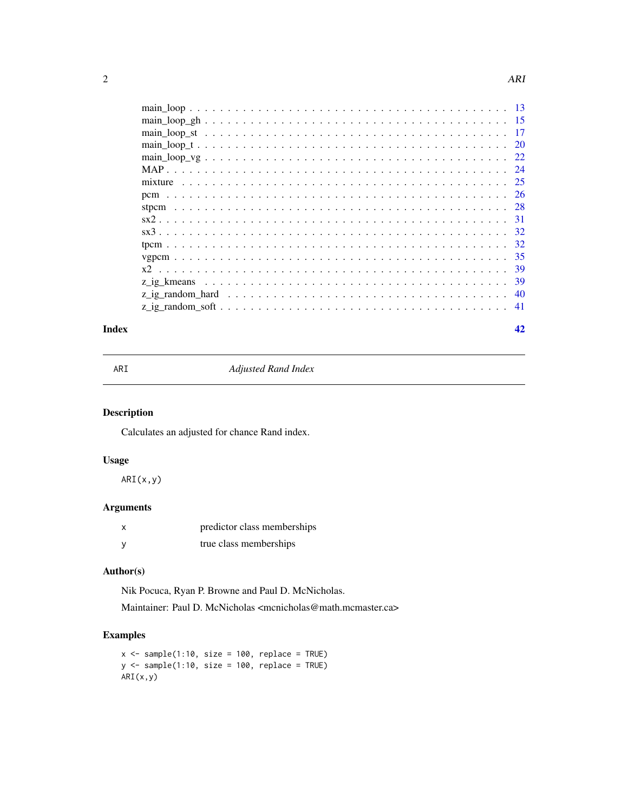<span id="page-1-0"></span>

| -17 |
|-----|
|     |
|     |
|     |
| -25 |
|     |
|     |
|     |
|     |
| 32  |
| 35  |
| 39  |
| -39 |
| -40 |
| -41 |
|     |

#### **Index** [42](#page-41-0)

|  | i |
|--|---|

**Adjusted Rand Index** 

## Description

Calculates an adjusted for chance Rand index.

## Usage

ARI(x,y)

## Arguments

| predictor class memberships |
|-----------------------------|
| true class memberships      |

## Author(s)

Nik Pocuca, Ryan P. Browne and Paul D. McNicholas.

Maintainer: Paul D. McNicholas <mcnicholas@math.mcmaster.ca>

## Examples

```
x \le - sample(1:10, size = 100, replace = TRUE)
y <- sample(1:10, size = 100, replace = TRUE)
ARI(x,y)
```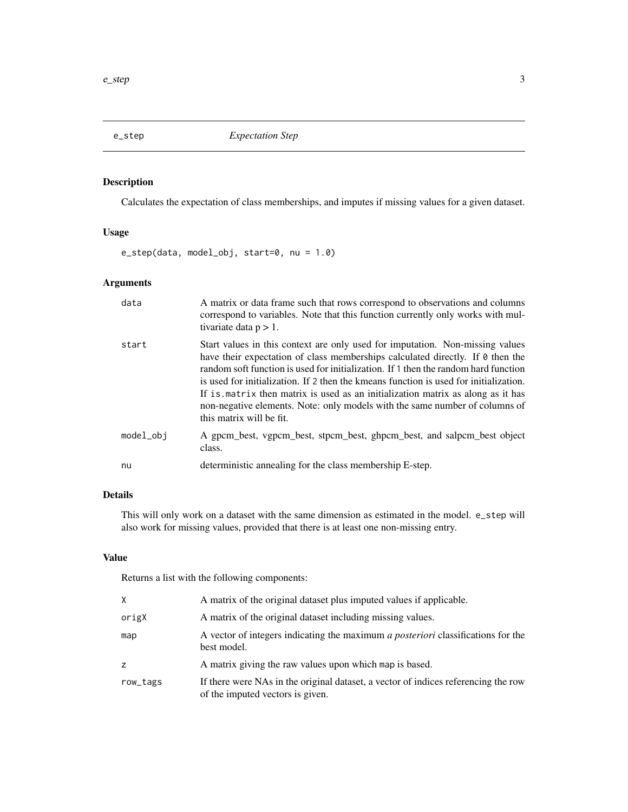<span id="page-2-0"></span>

## Description

Calculates the expectation of class memberships, and imputes if missing values for a given dataset.

## Usage

e\_step(data, model\_obj, start=0, nu = 1.0)

## Arguments

| data      | A matrix or data frame such that rows correspond to observations and columns<br>correspond to variables. Note that this function currently only works with mul-<br>tivariate data $p > 1$ .                                                                                                                                                                                                                                                                                                                                                   |
|-----------|-----------------------------------------------------------------------------------------------------------------------------------------------------------------------------------------------------------------------------------------------------------------------------------------------------------------------------------------------------------------------------------------------------------------------------------------------------------------------------------------------------------------------------------------------|
| start     | Start values in this context are only used for imputation. Non-missing values<br>have their expectation of class memberships calculated directly. If 0 then the<br>random soft function is used for initialization. If 1 then the random hard function<br>is used for initialization. If 2 then the kmeans function is used for initialization.<br>If is matrix then matrix is used as an initialization matrix as along as it has<br>non-negative elements. Note: only models with the same number of columns of<br>this matrix will be fit. |
| model_obj | A gpcm_best, vgpcm_best, stpcm_best, ghpcm_best, and salpcm_best object<br>class.                                                                                                                                                                                                                                                                                                                                                                                                                                                             |
| nu        | deterministic annealing for the class membership E-step.                                                                                                                                                                                                                                                                                                                                                                                                                                                                                      |

## Details

This will only work on a dataset with the same dimension as estimated in the model. e\_step will also work for missing values, provided that there is at least one non-missing entry.

#### Value

Returns a list with the following components:

| X.       | A matrix of the original dataset plus imputed values if applicable.                                                    |
|----------|------------------------------------------------------------------------------------------------------------------------|
| origX    | A matrix of the original dataset including missing values.                                                             |
| map      | A vector of integers indicating the maximum <i>a posteriori</i> classifications for the<br>best model.                 |
| Z.       | A matrix giving the raw values upon which map is based.                                                                |
| row_tags | If there were NAs in the original dataset, a vector of indices referencing the row<br>of the imputed vectors is given. |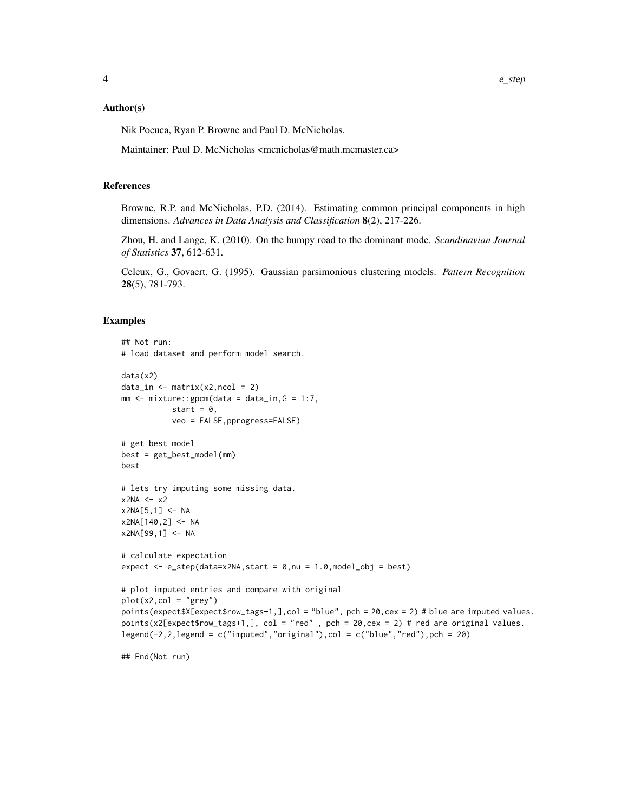#### Author(s)

Nik Pocuca, Ryan P. Browne and Paul D. McNicholas.

Maintainer: Paul D. McNicholas <mcnicholas@math.mcmaster.ca>

#### References

Browne, R.P. and McNicholas, P.D. (2014). Estimating common principal components in high dimensions. *Advances in Data Analysis and Classification* 8(2), 217-226.

Zhou, H. and Lange, K. (2010). On the bumpy road to the dominant mode. *Scandinavian Journal of Statistics* 37, 612-631.

Celeux, G., Govaert, G. (1995). Gaussian parsimonious clustering models. *Pattern Recognition* 28(5), 781-793.

#### Examples

```
## Not run:
# load dataset and perform model search.
data(x2)
data_in \leq matrix(x2,ncol = 2)
mm < - mixture:: gpcm(data = data_in, G = 1:7,start = 0.
           veo = FALSE,pprogress=FALSE)
# get best model
best = get_best_model(mm)
best
# lets try imputing some missing data.
x2NA \leftarrow x2x2NA[5,1] <- NA
x2NA[140,2] <- NA
x2NA[99, 1] < - NA# calculate expectation
expect \leq e_step(data=x2NA, start = 0, nu = 1.0, model_obj = best)
# plot imputed entries and compare with original
plot(x2,col = "grey")points(expect$X[expect$row_tags+1,],col = "blue", pch = 20,cex = 2) # blue are imputed values.
points(x2[expect$row_tags+1,], col = "red" , pch = 20,cex = 2) # red are original values.
legend(-2,2,legend = c("imputed", "original"), col = c("blue", "red"), pch = 20)
```
## End(Not run)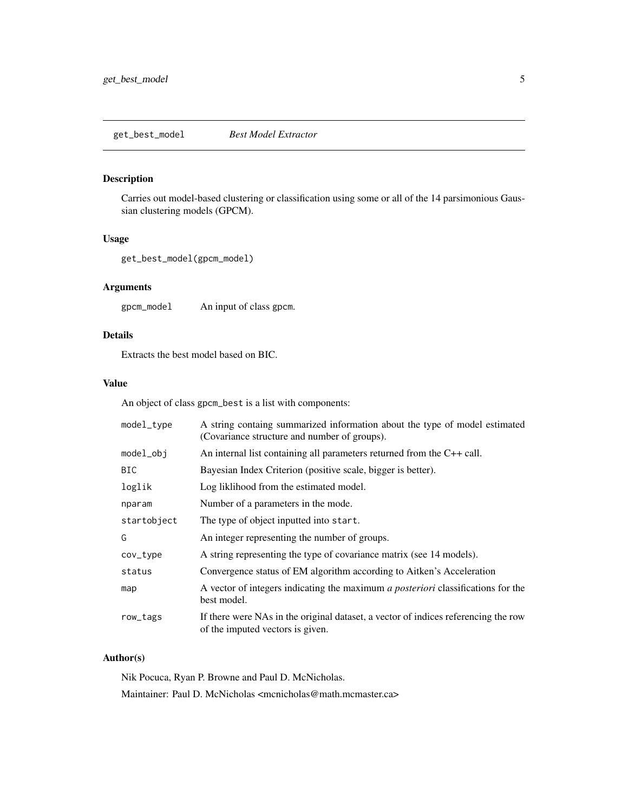<span id="page-4-0"></span>get\_best\_model *Best Model Extractor*

## Description

Carries out model-based clustering or classification using some or all of the 14 parsimonious Gaussian clustering models (GPCM).

## Usage

```
get_best_model(gpcm_model)
```
## Arguments

gpcm\_model An input of class gpcm.

## Details

Extracts the best model based on BIC.

## Value

An object of class gpcm\_best is a list with components:

| model_type  | A string containg summarized information about the type of model estimated<br>(Covariance structure and number of groups). |
|-------------|----------------------------------------------------------------------------------------------------------------------------|
| model_obj   | An internal list containing all parameters returned from the $C++$ call.                                                   |
| <b>BIC</b>  | Bayesian Index Criterion (positive scale, bigger is better).                                                               |
| loglik      | Log liklihood from the estimated model.                                                                                    |
| nparam      | Number of a parameters in the mode.                                                                                        |
| startobject | The type of object inputted into start.                                                                                    |
| G           | An integer representing the number of groups.                                                                              |
| cov_type    | A string representing the type of covariance matrix (see 14 models).                                                       |
| status      | Convergence status of EM algorithm according to Aitken's Acceleration                                                      |
| map         | A vector of integers indicating the maximum <i>a posteriori</i> classifications for the<br>best model.                     |
| row_tags    | If there were NAs in the original dataset, a vector of indices referencing the row<br>of the imputed vectors is given.     |

## Author(s)

Nik Pocuca, Ryan P. Browne and Paul D. McNicholas.

Maintainer: Paul D. McNicholas <mcnicholas@math.mcmaster.ca>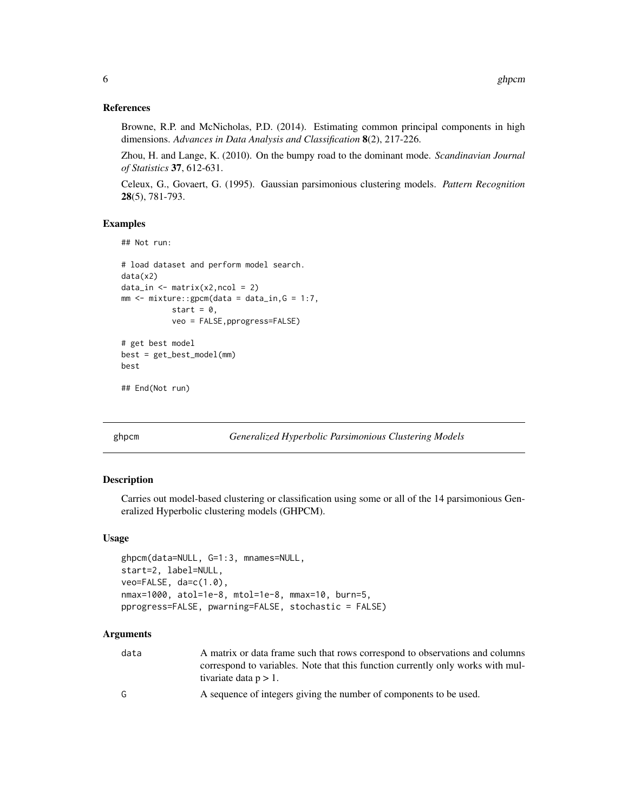#### <span id="page-5-0"></span>References

Browne, R.P. and McNicholas, P.D. (2014). Estimating common principal components in high dimensions. *Advances in Data Analysis and Classification* 8(2), 217-226.

Zhou, H. and Lange, K. (2010). On the bumpy road to the dominant mode. *Scandinavian Journal of Statistics* 37, 612-631.

Celeux, G., Govaert, G. (1995). Gaussian parsimonious clustering models. *Pattern Recognition* 28(5), 781-793.

#### Examples

```
## Not run:
# load dataset and perform model search.
data(x2)
data_in \leq matrix(x2,ncol = 2)
mm < - mixture::gpcm(data = data_in, G = 1:7,
           start = 0,
           veo = FALSE,pprogress=FALSE)
# get best model
best = get_best_model(mm)
```
## End(Not run)

best

<span id="page-5-1"></span>ghpcm *Generalized Hyperbolic Parsimonious Clustering Models*

## Description

Carries out model-based clustering or classification using some or all of the 14 parsimonious Generalized Hyperbolic clustering models (GHPCM).

#### Usage

```
ghpcm(data=NULL, G=1:3, mnames=NULL,
start=2, label=NULL,
veo=FALSE, da=c(1.0),
nmax=1000, atol=1e-8, mtol=1e-8, mmax=10, burn=5,
pprogress=FALSE, pwarning=FALSE, stochastic = FALSE)
```
#### Arguments

| data | A matrix or data frame such that rows correspond to observations and columns    |
|------|---------------------------------------------------------------------------------|
|      | correspond to variables. Note that this function currently only works with mul- |
|      | tivariate data $p > 1$ .                                                        |
| G    | A sequence of integers giving the number of components to be used.              |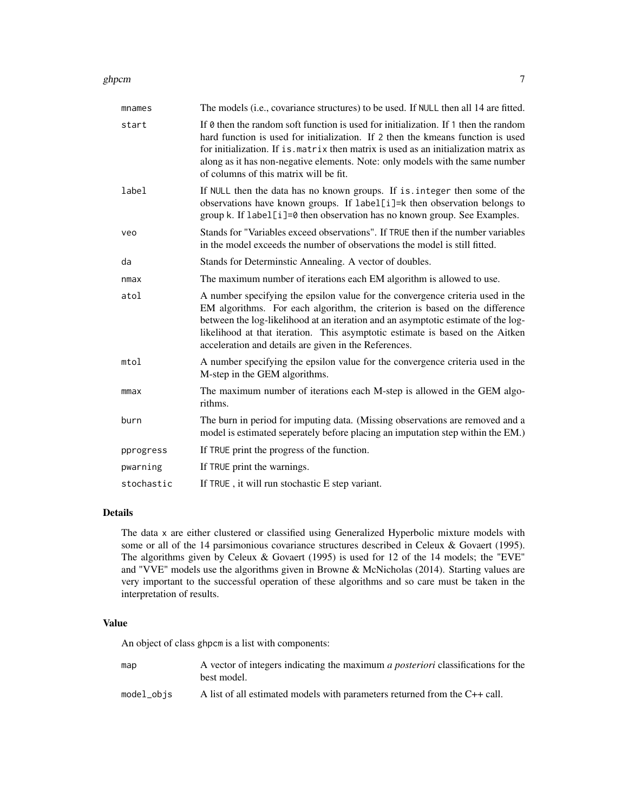#### ghpcm and the state of the state of the state of the state of the state of the state of the state of the state of the state of the state of the state of the state of the state of the state of the state of the state of the

| mnames     | The models (i.e., covariance structures) to be used. If NULL then all 14 are fitted.                                                                                                                                                                                                                                                                                                         |
|------------|----------------------------------------------------------------------------------------------------------------------------------------------------------------------------------------------------------------------------------------------------------------------------------------------------------------------------------------------------------------------------------------------|
| start      | If 0 then the random soft function is used for initialization. If 1 then the random<br>hard function is used for initialization. If 2 then the kmeans function is used<br>for initialization. If is matrix then matrix is used as an initialization matrix as<br>along as it has non-negative elements. Note: only models with the same number<br>of columns of this matrix will be fit.     |
| label      | If NULL then the data has no known groups. If is . integer then some of the<br>observations have known groups. If label[i]=k then observation belongs to<br>group k. If label[i]=0 then observation has no known group. See Examples.                                                                                                                                                        |
| veo        | Stands for "Variables exceed observations". If TRUE then if the number variables<br>in the model exceeds the number of observations the model is still fitted.                                                                                                                                                                                                                               |
| da         | Stands for Determinstic Annealing. A vector of doubles.                                                                                                                                                                                                                                                                                                                                      |
| nmax       | The maximum number of iterations each EM algorithm is allowed to use.                                                                                                                                                                                                                                                                                                                        |
| atol       | A number specifying the epsilon value for the convergence criteria used in the<br>EM algorithms. For each algorithm, the criterion is based on the difference<br>between the log-likelihood at an iteration and an asymptotic estimate of the log-<br>likelihood at that iteration. This asymptotic estimate is based on the Aitken<br>acceleration and details are given in the References. |
| mtol       | A number specifying the epsilon value for the convergence criteria used in the<br>M-step in the GEM algorithms.                                                                                                                                                                                                                                                                              |
| mmax       | The maximum number of iterations each M-step is allowed in the GEM algo-<br>rithms.                                                                                                                                                                                                                                                                                                          |
| burn       | The burn in period for imputing data. (Missing observations are removed and a<br>model is estimated seperately before placing an imputation step within the EM.)                                                                                                                                                                                                                             |
| pprogress  | If TRUE print the progress of the function.                                                                                                                                                                                                                                                                                                                                                  |
| pwarning   | If TRUE print the warnings.                                                                                                                                                                                                                                                                                                                                                                  |
| stochastic | If TRUE, it will run stochastic E step variant.                                                                                                                                                                                                                                                                                                                                              |

## Details

The data x are either clustered or classified using Generalized Hyperbolic mixture models with some or all of the 14 parsimonious covariance structures described in Celeux & Govaert (1995). The algorithms given by Celeux & Govaert (1995) is used for 12 of the 14 models; the "EVE" and "VVE" models use the algorithms given in Browne & McNicholas (2014). Starting values are very important to the successful operation of these algorithms and so care must be taken in the interpretation of results.

#### Value

An object of class ghpcm is a list with components:

| map | A vector of integers indicating the maximum <i>a posteriori</i> classifications for the |
|-----|-----------------------------------------------------------------------------------------|
|     | best model.                                                                             |
|     |                                                                                         |

model\_objs A list of all estimated models with parameters returned from the C++ call.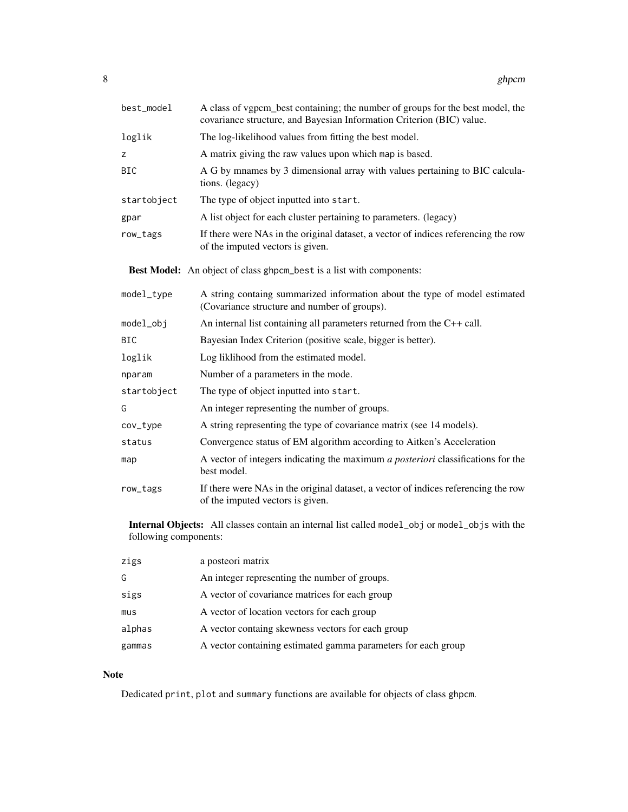| best_model            | A class of vgpcm_best containing; the number of groups for the best model, the<br>covariance structure, and Bayesian Information Criterion (BIC) value. |
|-----------------------|---------------------------------------------------------------------------------------------------------------------------------------------------------|
| loglik                | The log-likelihood values from fitting the best model.                                                                                                  |
| z                     | A matrix giving the raw values upon which map is based.                                                                                                 |
| <b>BIC</b>            | A G by mnames by 3 dimensional array with values pertaining to BIC calcula-<br>tions. (legacy)                                                          |
| startobject           | The type of object inputted into start.                                                                                                                 |
| gpar                  | A list object for each cluster pertaining to parameters. (legacy)                                                                                       |
| row_tags              | If there were NAs in the original dataset, a vector of indices referencing the row<br>of the imputed vectors is given.                                  |
|                       | Best Model: An object of class ghpcm_best is a list with components:                                                                                    |
| model_type            | A string containg summarized information about the type of model estimated<br>(Covariance structure and number of groups).                              |
| model_obj             | An internal list containing all parameters returned from the C++ call.                                                                                  |
| <b>BIC</b>            | Bayesian Index Criterion (positive scale, bigger is better).                                                                                            |
| loglik                | Log liklihood from the estimated model.                                                                                                                 |
| nparam                | Number of a parameters in the mode.                                                                                                                     |
| startobject           | The type of object inputted into start.                                                                                                                 |
| G                     | An integer representing the number of groups.                                                                                                           |
| cov_type              | A string representing the type of covariance matrix (see 14 models).                                                                                    |
| status                | Convergence status of EM algorithm according to Aitken's Acceleration                                                                                   |
| map                   | A vector of integers indicating the maximum a posteriori classifications for the<br>best model.                                                         |
| row_tags              | If there were NAs in the original dataset, a vector of indices referencing the row<br>of the imputed vectors is given.                                  |
| following components: | <b>Internal Objects:</b> All classes contain an internal list called model_obj or model_objs with the                                                   |

| zigs   | a posteori matrix                                             |
|--------|---------------------------------------------------------------|
| G      | An integer representing the number of groups.                 |
| sigs   | A vector of covariance matrices for each group                |
| mus    | A vector of location vectors for each group                   |
| alphas | A vector containg skewness vectors for each group             |
| gammas | A vector containing estimated gamma parameters for each group |

## Note

Dedicated print, plot and summary functions are available for objects of class ghpcm.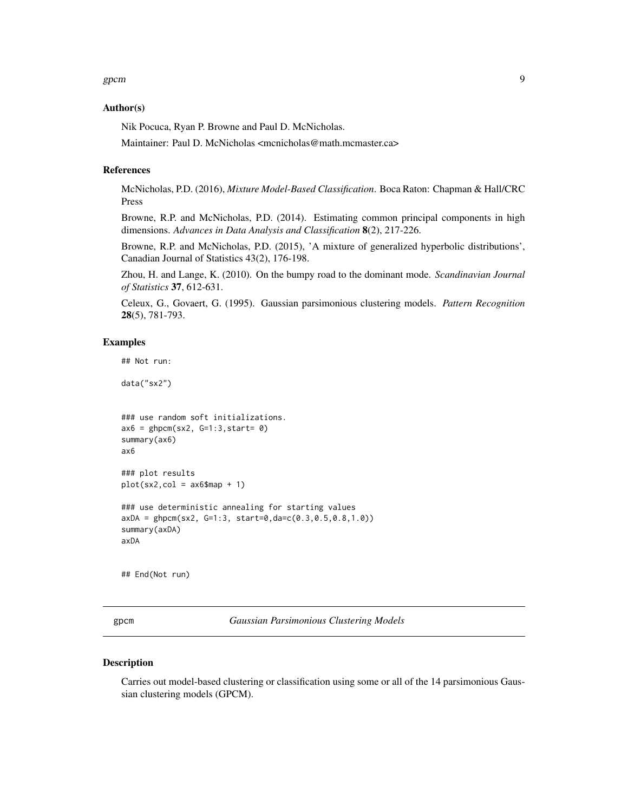#### <span id="page-8-0"></span>Author(s)

Nik Pocuca, Ryan P. Browne and Paul D. McNicholas.

Maintainer: Paul D. McNicholas <mcnicholas@math.mcmaster.ca>

#### References

McNicholas, P.D. (2016), *Mixture Model-Based Classification*. Boca Raton: Chapman & Hall/CRC Press

Browne, R.P. and McNicholas, P.D. (2014). Estimating common principal components in high dimensions. *Advances in Data Analysis and Classification* 8(2), 217-226.

Browne, R.P. and McNicholas, P.D. (2015), 'A mixture of generalized hyperbolic distributions', Canadian Journal of Statistics 43(2), 176-198.

Zhou, H. and Lange, K. (2010). On the bumpy road to the dominant mode. *Scandinavian Journal of Statistics* 37, 612-631.

Celeux, G., Govaert, G. (1995). Gaussian parsimonious clustering models. *Pattern Recognition* 28(5), 781-793.

#### Examples

## Not run:

data("sx2")

```
### use random soft initializations.
ax6 = ghpcm(sx2, G=1:3, start= 0)summary(ax6)
ax6
### plot results
plot(sx2,col = ax6$map + 1)### use deterministic annealing for starting values
axDA = ghpcm(sx2, G=1:3, start=0,da=c(0.3,0.5,0.8,1.0))
summary(axDA)
axDA
```
## End(Not run)

<span id="page-8-1"></span>gpcm *Gaussian Parsimonious Clustering Models*

#### Description

Carries out model-based clustering or classification using some or all of the 14 parsimonious Gaussian clustering models (GPCM).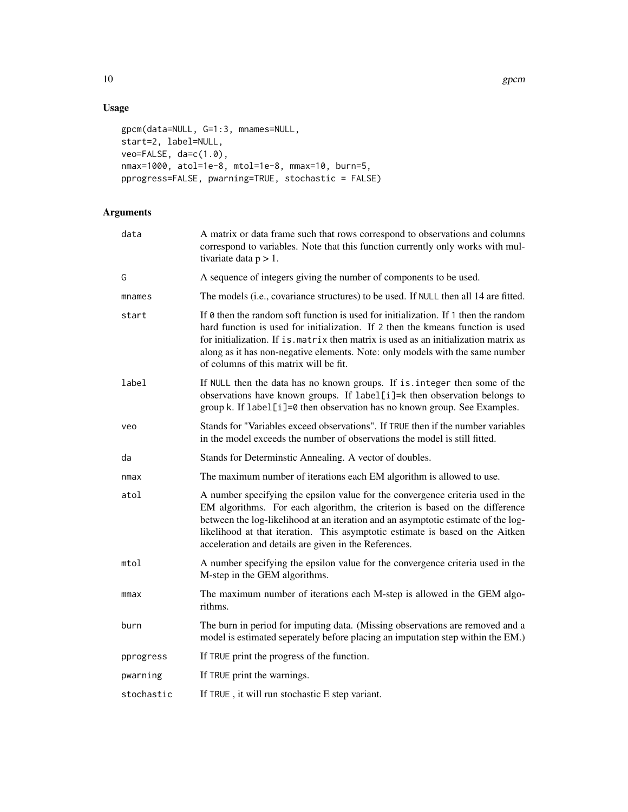## Usage

```
gpcm(data=NULL, G=1:3, mnames=NULL,
start=2, label=NULL,
veo=FALSE, da=c(1.0),
nmax=1000, atol=1e-8, mtol=1e-8, mmax=10, burn=5,
pprogress=FALSE, pwarning=TRUE, stochastic = FALSE)
```
## Arguments

| data       | A matrix or data frame such that rows correspond to observations and columns<br>correspond to variables. Note that this function currently only works with mul-<br>tivariate data $p > 1$ .                                                                                                                                                                                                     |
|------------|-------------------------------------------------------------------------------------------------------------------------------------------------------------------------------------------------------------------------------------------------------------------------------------------------------------------------------------------------------------------------------------------------|
| G          | A sequence of integers giving the number of components to be used.                                                                                                                                                                                                                                                                                                                              |
| mnames     | The models (i.e., covariance structures) to be used. If NULL then all 14 are fitted.                                                                                                                                                                                                                                                                                                            |
| start      | If $\theta$ then the random soft function is used for initialization. If 1 then the random<br>hard function is used for initialization. If 2 then the kmeans function is used<br>for initialization. If is matrix then matrix is used as an initialization matrix as<br>along as it has non-negative elements. Note: only models with the same number<br>of columns of this matrix will be fit. |
| label      | If NULL then the data has no known groups. If is integer then some of the<br>observations have known groups. If label[i]=k then observation belongs to<br>group k. If label[i]=0 then observation has no known group. See Examples.                                                                                                                                                             |
| veo        | Stands for "Variables exceed observations". If TRUE then if the number variables<br>in the model exceeds the number of observations the model is still fitted.                                                                                                                                                                                                                                  |
| da         | Stands for Determinstic Annealing. A vector of doubles.                                                                                                                                                                                                                                                                                                                                         |
| nmax       | The maximum number of iterations each EM algorithm is allowed to use.                                                                                                                                                                                                                                                                                                                           |
| atol       | A number specifying the epsilon value for the convergence criteria used in the<br>EM algorithms. For each algorithm, the criterion is based on the difference<br>between the log-likelihood at an iteration and an asymptotic estimate of the log-<br>likelihood at that iteration. This asymptotic estimate is based on the Aitken<br>acceleration and details are given in the References.    |
| mtol       | A number specifying the epsilon value for the convergence criteria used in the<br>M-step in the GEM algorithms.                                                                                                                                                                                                                                                                                 |
| mmax       | The maximum number of iterations each M-step is allowed in the GEM algo-<br>rithms.                                                                                                                                                                                                                                                                                                             |
| burn       | The burn in period for imputing data. (Missing observations are removed and a<br>model is estimated seperately before placing an imputation step within the EM.)                                                                                                                                                                                                                                |
| pprogress  | If TRUE print the progress of the function.                                                                                                                                                                                                                                                                                                                                                     |
| pwarning   | If TRUE print the warnings.                                                                                                                                                                                                                                                                                                                                                                     |
| stochastic | If TRUE, it will run stochastic E step variant.                                                                                                                                                                                                                                                                                                                                                 |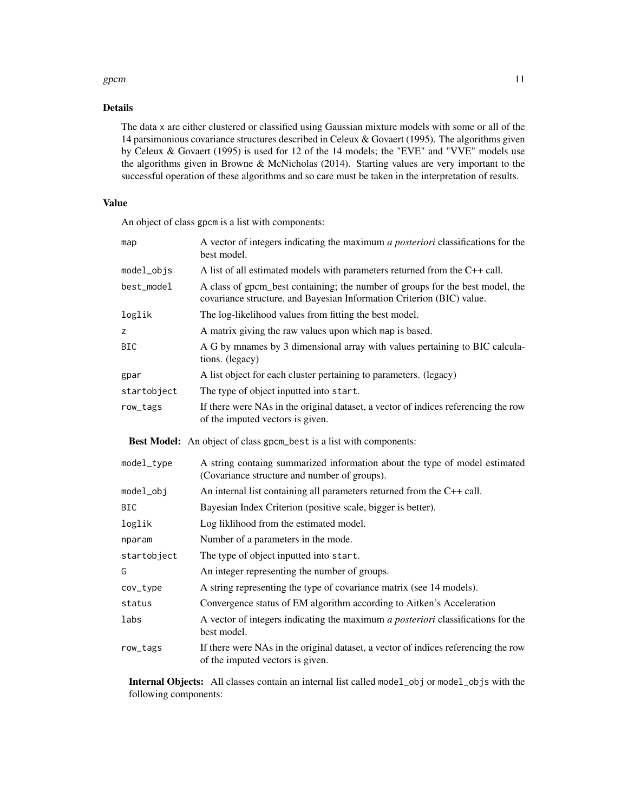#### gpcm  $11$

## Details

The data x are either clustered or classified using Gaussian mixture models with some or all of the 14 parsimonious covariance structures described in Celeux & Govaert (1995). The algorithms given by Celeux & Govaert (1995) is used for 12 of the 14 models; the "EVE" and "VVE" models use the algorithms given in Browne & McNicholas (2014). Starting values are very important to the successful operation of these algorithms and so care must be taken in the interpretation of results.

## Value

An object of class gpcm is a list with components:

| map         | A vector of integers indicating the maximum a posteriori classifications for the<br>best model.                                                        |
|-------------|--------------------------------------------------------------------------------------------------------------------------------------------------------|
| model_objs  | A list of all estimated models with parameters returned from the $C++$ call.                                                                           |
| best_model  | A class of gpcm_best containing; the number of groups for the best model, the<br>covariance structure, and Bayesian Information Criterion (BIC) value. |
| loglik      | The log-likelihood values from fitting the best model.                                                                                                 |
| z           | A matrix giving the raw values upon which map is based.                                                                                                |
| <b>BIC</b>  | A G by mnames by 3 dimensional array with values pertaining to BIC calcula-<br>tions. (legacy)                                                         |
| gpar        | A list object for each cluster pertaining to parameters. (legacy)                                                                                      |
| startobject | The type of object inputted into start.                                                                                                                |
| row_tags    | If there were NAs in the original dataset, a vector of indices referencing the row<br>of the imputed vectors is given.                                 |
|             | Best Model: An object of class gpcm_best is a list with components:                                                                                    |
| model_type  | A string containg summarized information about the type of model estimated<br>(Covariance structure and number of groups).                             |
| model_obj   | An internal list containing all parameters returned from the C++ call.                                                                                 |
| <b>BIC</b>  | Bayesian Index Criterion (positive scale, bigger is better).                                                                                           |
| loglik      | Log liklihood from the estimated model.                                                                                                                |
| nparam      | Number of a parameters in the mode.                                                                                                                    |
| startobject | The type of object inputted into start.                                                                                                                |
| G           | An integer representing the number of groups.                                                                                                          |
| cov_type    | A string representing the type of covariance matrix (see 14 models).                                                                                   |
| status      | Convergence status of EM algorithm according to Aitken's Acceleration                                                                                  |
| labs        | A vector of integers indicating the maximum a posteriori classifications for the<br>best model.                                                        |
| row_tags    | If there were NAs in the original dataset, a vector of indices referencing the row<br>of the imputed vectors is given.                                 |

Internal Objects: All classes contain an internal list called model\_obj or model\_objs with the following components: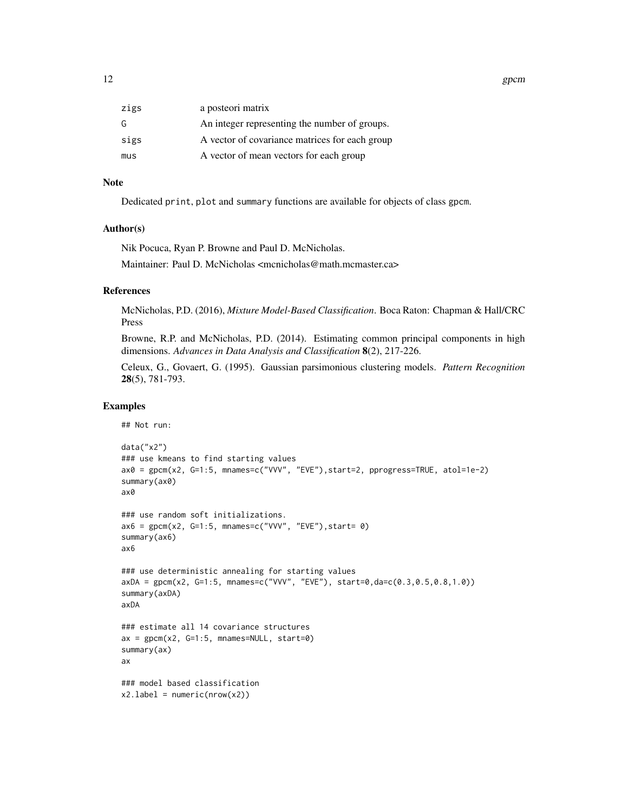12 gpcm

| zigs | a posteori matrix                              |
|------|------------------------------------------------|
| G    | An integer representing the number of groups.  |
| sigs | A vector of covariance matrices for each group |
| mus  | A vector of mean vectors for each group        |

#### Note

Dedicated print, plot and summary functions are available for objects of class gpcm.

#### Author(s)

Nik Pocuca, Ryan P. Browne and Paul D. McNicholas. Maintainer: Paul D. McNicholas <mcnicholas@math.mcmaster.ca>

#### References

McNicholas, P.D. (2016), *Mixture Model-Based Classification*. Boca Raton: Chapman & Hall/CRC Press

Browne, R.P. and McNicholas, P.D. (2014). Estimating common principal components in high dimensions. *Advances in Data Analysis and Classification* 8(2), 217-226.

Celeux, G., Govaert, G. (1995). Gaussian parsimonious clustering models. *Pattern Recognition* 28(5), 781-793.

#### Examples

```
## Not run:
```

```
data("x2")
### use kmeans to find starting values
ax0 = gpcm(x2, G=1:5, mnames=c("VVV", "EVE"),start=2, pprogress=TRUE, atol=1e-2)
summary(ax0)
ax0
### use random soft initializations.
ax6 = gpcm(x2, G=1:5, manes=c("VVV", "EVE"), start= 0)summary(ax6)
ax6
### use deterministic annealing for starting values
axDA = gpcm(x2, G=1:5, manmes=c("VVV", "EVE"), start=0, da=c(0.3, 0.5, 0.8, 1.0))summary(axDA)
axDA
### estimate all 14 covariance structures
ax = gpcm(x2, G=1:5, mnames=NULL, start=0)summary(ax)
ax
### model based classification
x2.label = numeric(nrow(x2))
```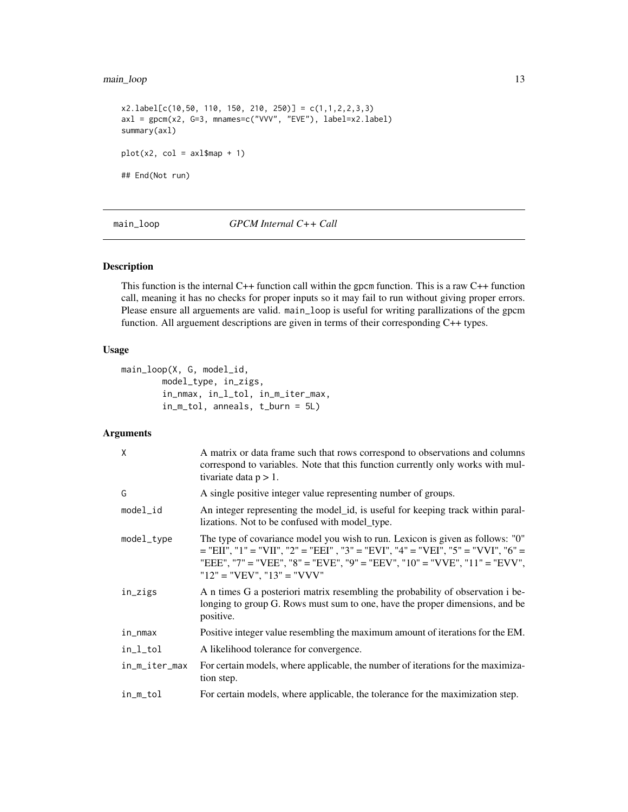## <span id="page-12-0"></span>main\_loop 13

```
x2u1abc1[c(10,50, 110, 150, 210, 250)] = c(1,1,2,2,3,3)axl = gpcm(x2, G=3, mnames=c("VVV", "EVE"), label=x2.label)
summary(axl)
plot(x2, col = axl$map + 1)## End(Not run)
```
main\_loop *GPCM Internal C++ Call*

## Description

This function is the internal  $C++$  function call within the gpcm function. This is a raw  $C++$  function call, meaning it has no checks for proper inputs so it may fail to run without giving proper errors. Please ensure all arguements are valid. main\_loop is useful for writing parallizations of the gpcm function. All arguement descriptions are given in terms of their corresponding C++ types.

## Usage

```
main_loop(X, G, model_id,
        model_type, in_zigs,
        in_nmax, in_l_tol, in_m_iter_max,
        in_m_tol, anneals, t_burn = 5L)
```
## Arguments

| X             | A matrix or data frame such that rows correspond to observations and columns<br>correspond to variables. Note that this function currently only works with mul-<br>tivariate data $p > 1$ .                                                                                       |
|---------------|-----------------------------------------------------------------------------------------------------------------------------------------------------------------------------------------------------------------------------------------------------------------------------------|
| G             | A single positive integer value representing number of groups.                                                                                                                                                                                                                    |
| $model_id$    | An integer representing the model_id, is useful for keeping track within paral-<br>lizations. Not to be confused with model_type.                                                                                                                                                 |
| model_type    | The type of covariance model you wish to run. Lexicon is given as follows: "0"<br>$=$ "EII", "1" = "VII", "2" = "EEI", "3" = "EVI", "4" = "VEI", "5" = "VVI", "6" =<br>"EEE", "7" = "VEE", "8" = "EVE", "9" = "EEV", "10" = "VVE", "11" = "EVV",<br>" $12" = "VEV", "13" = "VVV"$ |
| in_zigs       | A n times G a posteriori matrix resembling the probability of observation i be-<br>longing to group G. Rows must sum to one, have the proper dimensions, and be<br>positive.                                                                                                      |
| in_nmax       | Positive integer value resembling the maximum amount of iterations for the EM.                                                                                                                                                                                                    |
| in_l_tol      | A likelihood tolerance for convergence.                                                                                                                                                                                                                                           |
| in_m_iter_max | For certain models, where applicable, the number of iterations for the maximiza-<br>tion step.                                                                                                                                                                                    |
| in_m_tol      | For certain models, where applicable, the tolerance for the maximization step.                                                                                                                                                                                                    |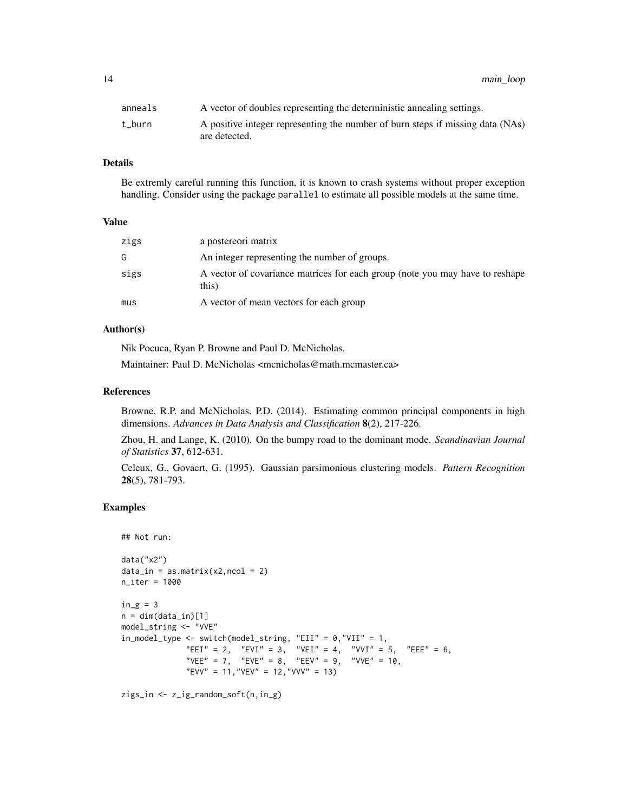14 main\_loop

| anneals | A vector of doubles representing the deterministic annealing settings.                          |
|---------|-------------------------------------------------------------------------------------------------|
| t burn  | A positive integer representing the number of burn steps if missing data (NAs)<br>are detected. |

## Details

Be extremly careful running this function, it is known to crash systems without proper exception handling. Consider using the package parallel to estimate all possible models at the same time.

#### Value

| zigs | a postereori matrix                                                                   |
|------|---------------------------------------------------------------------------------------|
| G    | An integer representing the number of groups.                                         |
| sigs | A vector of covariance matrices for each group (note you may have to reshape<br>this) |
| mus  | A vector of mean vectors for each group                                               |

#### Author(s)

Nik Pocuca, Ryan P. Browne and Paul D. McNicholas.

Maintainer: Paul D. McNicholas <mcnicholas@math.mcmaster.ca>

#### References

Browne, R.P. and McNicholas, P.D. (2014). Estimating common principal components in high dimensions. *Advances in Data Analysis and Classification* 8(2), 217-226.

Zhou, H. and Lange, K. (2010). On the bumpy road to the dominant mode. *Scandinavian Journal of Statistics* 37, 612-631.

Celeux, G., Govaert, G. (1995). Gaussian parsimonious clustering models. *Pattern Recognition* 28(5), 781-793.

## Examples

```
## Not run:
data("x2")
data_in = as_matrix(x2,ncol = 2)n_iter = 1000
in_g = 3n = dim(data_in)[1]model_string <- "VVE"
in_model_type <- switch(model_string, "EII" = 0,"VII" = 1,
              "EEI" = 2, "EVI" = 3, "VEI" = 4, "VVI" = 5, "EEE" = 6,
              "VEE" = 7, "EVE" = 8, "EEV" = 9, "VVE" = 10,
             "EVV" = 11,"VEV" = 12,"VVV" = 13)
```
zigs\_in <- z\_ig\_random\_soft(n,in\_g)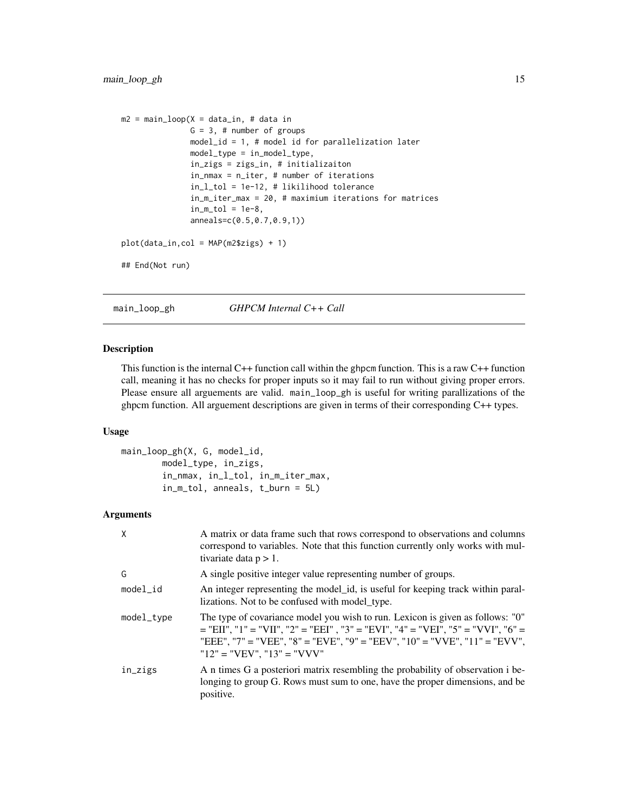```
m2 = main\_loop(X = data_in, # data inG = 3, # number of groups
               model_id = 1, # model id for parallelization later
               model_type = in_model_type,
               in_zigs = zigs_in, # initializaiton
               in_nmax = n_iter, # number of iterations
               in_l_tol = 1e-12, # likilihood tolerance
               in_m_iter_max = 20, # maximium iterations for matrices
               in_m\_tol = 1e-8,anneals=c(0.5,0.7,0.9,1))
plot(data_in,col = MAP(m2$zigs) + 1)
## End(Not run)
```
main\_loop\_gh *GHPCM Internal C++ Call*

#### Description

This function is the internal  $C++$  function call within the ghpcm function. This is a raw  $C++$  function call, meaning it has no checks for proper inputs so it may fail to run without giving proper errors. Please ensure all arguements are valid. main\_loop\_gh is useful for writing parallizations of the ghpcm function. All arguement descriptions are given in terms of their corresponding C++ types.

#### Usage

```
main_loop_gh(X, G, model_id,
        model_type, in_zigs,
        in_nmax, in_l_tol, in_m_iter_max,
        in_m_tol, anneals, t_burn = 5L)
```
#### Arguments

| X          | A matrix or data frame such that rows correspond to observations and columns<br>correspond to variables. Note that this function currently only works with mul-<br>tivariate data $p > 1$ .                                                                                       |
|------------|-----------------------------------------------------------------------------------------------------------------------------------------------------------------------------------------------------------------------------------------------------------------------------------|
| G          | A single positive integer value representing number of groups.                                                                                                                                                                                                                    |
| $model_id$ | An integer representing the model_id, is useful for keeping track within paral-<br>lizations. Not to be confused with model_type.                                                                                                                                                 |
| model_type | The type of covariance model you wish to run. Lexicon is given as follows: "0"<br>$=$ "EII", "1" = "VII", "2" = "EEI", "3" = "EVI", "4" = "VEI", "5" = "VVI", "6" =<br>"EEE", "7" = "VEE", "8" = "EVE", "9" = "EEV", "10" = "VVE", "11" = "EVV",<br>" $12" = "VEV", "13" = "VVV"$ |
| in_zigs    | A n times G a posteriori matrix resembling the probability of observation i be-<br>longing to group G. Rows must sum to one, have the proper dimensions, and be<br>positive.                                                                                                      |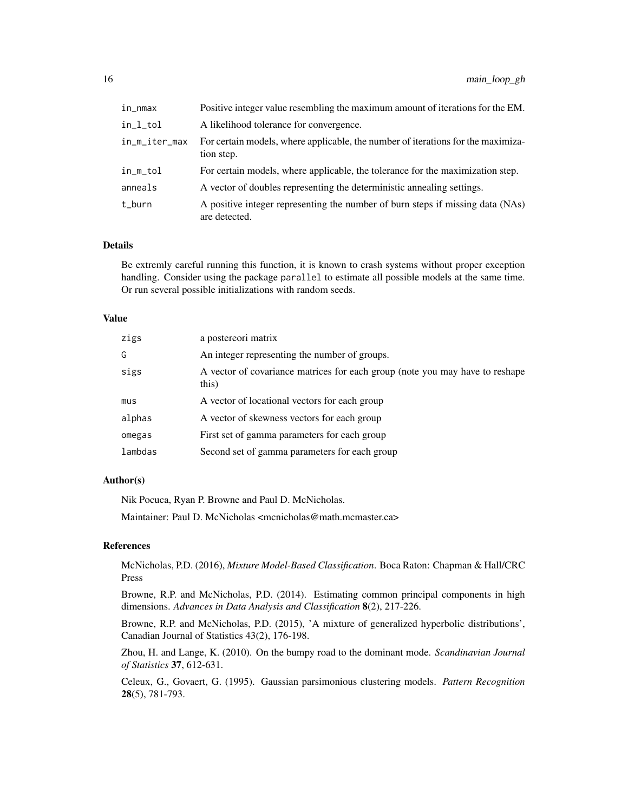| in_nmax       | Positive integer value resembling the maximum amount of iterations for the EM.                  |
|---------------|-------------------------------------------------------------------------------------------------|
| in_l_tol      | A likelihood tolerance for convergence.                                                         |
| in_m_iter_max | For certain models, where applicable, the number of iterations for the maximiza-<br>tion step.  |
| in_m_tol      | For certain models, where applicable, the tolerance for the maximization step.                  |
| anneals       | A vector of doubles representing the deterministic annealing settings.                          |
| t_burn        | A positive integer representing the number of burn steps if missing data (NAs)<br>are detected. |

#### Details

Be extremly careful running this function, it is known to crash systems without proper exception handling. Consider using the package parallel to estimate all possible models at the same time. Or run several possible initializations with random seeds.

#### Value

| zigs    | a postereori matrix                                                                   |
|---------|---------------------------------------------------------------------------------------|
| G       | An integer representing the number of groups.                                         |
| sigs    | A vector of covariance matrices for each group (note you may have to reshape<br>this) |
| mus     | A vector of locational vectors for each group                                         |
| alphas  | A vector of skewness vectors for each group                                           |
| omegas  | First set of gamma parameters for each group                                          |
| lambdas | Second set of gamma parameters for each group                                         |
|         |                                                                                       |

## Author(s)

Nik Pocuca, Ryan P. Browne and Paul D. McNicholas.

Maintainer: Paul D. McNicholas <mcnicholas@math.mcmaster.ca>

#### References

McNicholas, P.D. (2016), *Mixture Model-Based Classification*. Boca Raton: Chapman & Hall/CRC Press

Browne, R.P. and McNicholas, P.D. (2014). Estimating common principal components in high dimensions. *Advances in Data Analysis and Classification* 8(2), 217-226.

Browne, R.P. and McNicholas, P.D. (2015), 'A mixture of generalized hyperbolic distributions', Canadian Journal of Statistics 43(2), 176-198.

Zhou, H. and Lange, K. (2010). On the bumpy road to the dominant mode. *Scandinavian Journal of Statistics* 37, 612-631.

Celeux, G., Govaert, G. (1995). Gaussian parsimonious clustering models. *Pattern Recognition* 28(5), 781-793.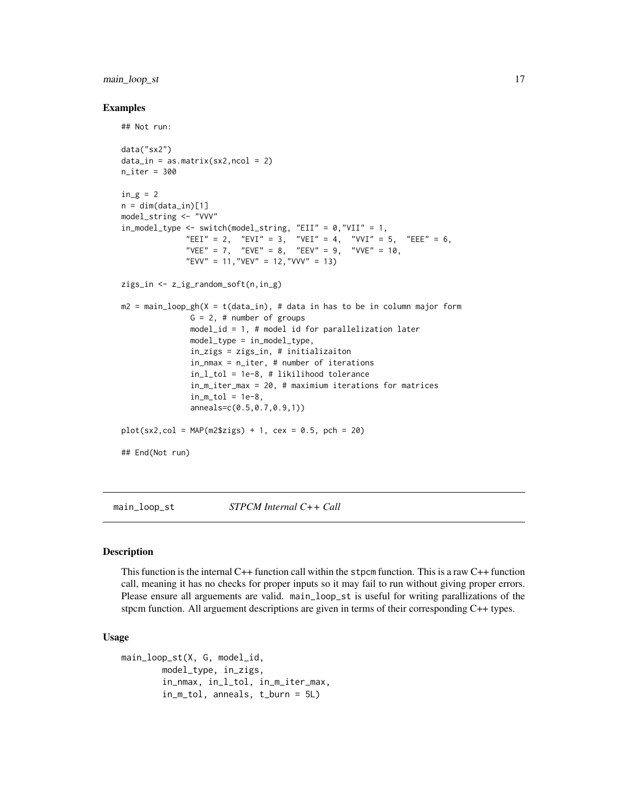## <span id="page-16-0"></span>main\_loop\_st 17

#### Examples

```
## Not run:
data("sx2")
data_in = as_matrix(sx2,ncol = 2)n<sub>ter</sub> = 300
in_g = 2n = dim(data_in)[1]model_string <- "VVV"
in\_model\_type \le switch(model_string, "EII" = 0, "VII" = 1,
              "EEI" = 2, "EVI" = 3, "VEI" = 4, "VVI" = 5, "EEE" = 6,
              "VEE" = 7, "EVE" = 8, "EEV" = 9, "VVE" = 10,
              "EVV" = 11, "VEV" = 12, "VVV" = 13)
zigs_in <- z_ig_random_soft(n,in_g)
m2 = main\_loop\_gh(X = t(data_in), # data in has to be in column major formG = 2, # number of groups
               model_id = 1, # model id for parallelization later
               model_type = in_model_type,
               in_zigs = zigs_in, # initializaiton
               in_nmax = n_iter, # number of iterations
               in_l_tol = 1e-8, # likilihood tolerance
               in_m_iter_max = 20, # maximium iterations for matrices
               in_m\_tol = 1e-8,
               anneals=c(0.5,0.7,0.9,1))
plot(sx2,col = MAP(m2$zigs) + 1, cex = 0.5, pch = 20)
## End(Not run)
```
main\_loop\_st *STPCM Internal C++ Call*

#### Description

This function is the internal  $C++$  function call within the stpcm function. This is a raw  $C++$  function call, meaning it has no checks for proper inputs so it may fail to run without giving proper errors. Please ensure all arguements are valid. main\_loop\_st is useful for writing parallizations of the stpcm function. All arguement descriptions are given in terms of their corresponding C++ types.

#### Usage

```
main_loop_st(X, G, model_id,
       model_type, in_zigs,
        in_nmax, in_l_tol, in_m_iter_max,
       in_m_tol, anneals, t_burn = 5L)
```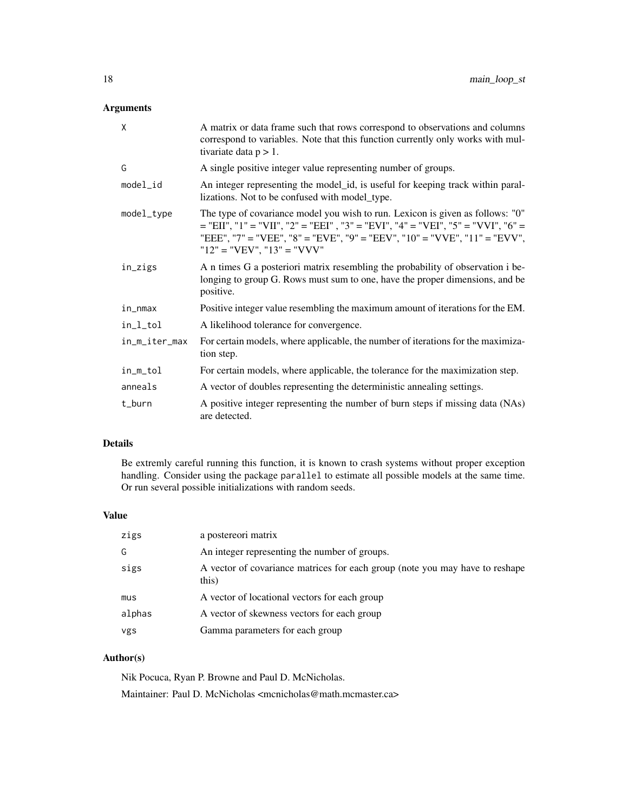## Arguments

| X             | A matrix or data frame such that rows correspond to observations and columns<br>correspond to variables. Note that this function currently only works with mul-<br>tivariate data $p > 1$ .                                                                                       |
|---------------|-----------------------------------------------------------------------------------------------------------------------------------------------------------------------------------------------------------------------------------------------------------------------------------|
| G             | A single positive integer value representing number of groups.                                                                                                                                                                                                                    |
| model_id      | An integer representing the model id, is useful for keeping track within paral-<br>lizations. Not to be confused with model_type.                                                                                                                                                 |
| model_type    | The type of covariance model you wish to run. Lexicon is given as follows: "0"<br>$=$ "EII", "1" = "VII", "2" = "EEI", "3" = "EVI", "4" = "VEI", "5" = "VVI", "6" =<br>"EEE", "7" = "VEE", "8" = "EVE", "9" = "EEV", "10" = "VVE", "11" = "EVV",<br>" $12" = "VEV", "13" = "VVV"$ |
| in_zigs       | A n times G a posteriori matrix resembling the probability of observation i be-<br>longing to group G. Rows must sum to one, have the proper dimensions, and be<br>positive.                                                                                                      |
| in_nmax       | Positive integer value resembling the maximum amount of iterations for the EM.                                                                                                                                                                                                    |
| in_l_tol      | A likelihood tolerance for convergence.                                                                                                                                                                                                                                           |
| in_m_iter_max | For certain models, where applicable, the number of iterations for the maximiza-<br>tion step.                                                                                                                                                                                    |
| in_m_tol      | For certain models, where applicable, the tolerance for the maximization step.                                                                                                                                                                                                    |
| anneals       | A vector of doubles representing the deterministic annealing settings.                                                                                                                                                                                                            |
| t_burn        | A positive integer representing the number of burn steps if missing data (NAs)<br>are detected.                                                                                                                                                                                   |

## Details

Be extremly careful running this function, it is known to crash systems without proper exception handling. Consider using the package parallel to estimate all possible models at the same time. Or run several possible initializations with random seeds.

## Value

| zigs   | a postereori matrix                                                                   |
|--------|---------------------------------------------------------------------------------------|
| G      | An integer representing the number of groups.                                         |
| sigs   | A vector of covariance matrices for each group (note you may have to reshape<br>this) |
| mus    | A vector of locational vectors for each group                                         |
| alphas | A vector of skewness vectors for each group                                           |
| vgs    | Gamma parameters for each group                                                       |

## Author(s)

Nik Pocuca, Ryan P. Browne and Paul D. McNicholas. Maintainer: Paul D. McNicholas <mcnicholas@math.mcmaster.ca>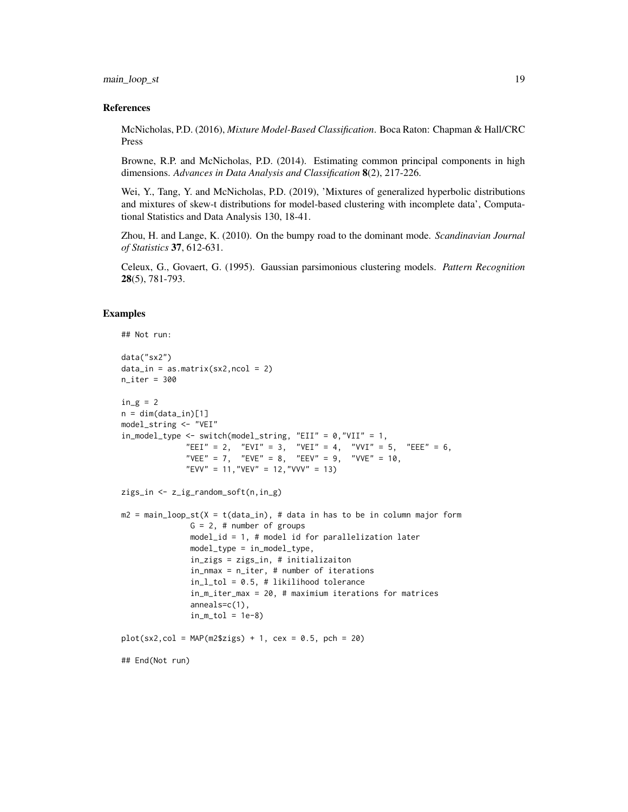#### main\_loop\_st 19

#### References

McNicholas, P.D. (2016), *Mixture Model-Based Classification*. Boca Raton: Chapman & Hall/CRC Press

Browne, R.P. and McNicholas, P.D. (2014). Estimating common principal components in high dimensions. *Advances in Data Analysis and Classification* 8(2), 217-226.

Wei, Y., Tang, Y. and McNicholas, P.D. (2019), 'Mixtures of generalized hyperbolic distributions and mixtures of skew-t distributions for model-based clustering with incomplete data', Computational Statistics and Data Analysis 130, 18-41.

Zhou, H. and Lange, K. (2010). On the bumpy road to the dominant mode. *Scandinavian Journal of Statistics* 37, 612-631.

Celeux, G., Govaert, G. (1995). Gaussian parsimonious clustering models. *Pattern Recognition* 28(5), 781-793.

#### Examples

```
## Not run:
data("sx2")
data_in = as_matrix(sx2,ncol = 2)n_iter = 300
in_g = 2n = dim(data_in)[1]model_string <- "VEI"
in_model_type <- switch(model_string, "EII" = 0,"VII" = 1,
             "EEI" = 2, "EVI" = 3, "VEI" = 4, "VVI" = 5, "EEE" = 6,
              "VEE" = 7, "EVE" = 8, "EEV" = 9, "VVE" = 10,
              "EVV" = 11,"VEV" = 12,"VVV" = 13)
zigs_in <- z_ig_random_soft(n,in_g)
m2 = main_loop_st(X = t(data_in), # data in has to be in column major form
              G = 2, # number of groups
              model_id = 1, # model id for parallelization later
              model_type = in_model_type,
              in_zigs = zigs_in, # initializaiton
               in_nmax = n_iter, # number of iterations
               in_l_tol = 0.5, # likilihood tolerance
               in_m_iter_max = 20, # maximium iterations for matrices
               anneals=c(1),
               in_m\_tol = 1e-8plot(sx2, col = MAP(m2$zigs) + 1, cex = 0.5, pch = 20)## End(Not run)
```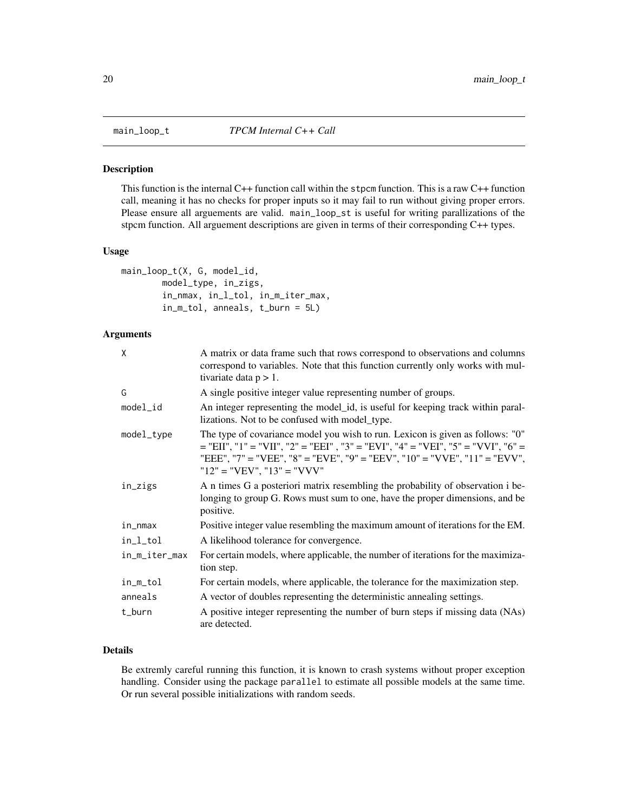<span id="page-19-0"></span>

#### Description

This function is the internal  $C++$  function call within the stpcm function. This is a raw  $C++$  function call, meaning it has no checks for proper inputs so it may fail to run without giving proper errors. Please ensure all arguements are valid. main\_loop\_st is useful for writing parallizations of the stpcm function. All arguement descriptions are given in terms of their corresponding C++ types.

#### Usage

```
main_loop_t(X, G, model_id,
        model_type, in_zigs,
        in_nmax, in_l_tol, in_m_iter_max,
        in_m_tol, anneals, t_burn = 5L)
```
### Arguments

| χ             | A matrix or data frame such that rows correspond to observations and columns<br>correspond to variables. Note that this function currently only works with mul-<br>tivariate data $p > 1$ .                                                                                       |
|---------------|-----------------------------------------------------------------------------------------------------------------------------------------------------------------------------------------------------------------------------------------------------------------------------------|
| G             | A single positive integer value representing number of groups.                                                                                                                                                                                                                    |
| model_id      | An integer representing the model id, is useful for keeping track within paral-<br>lizations. Not to be confused with model_type.                                                                                                                                                 |
| model_type    | The type of covariance model you wish to run. Lexicon is given as follows: "0"<br>$=$ "EII", "1" = "VII", "2" = "EEI", "3" = "EVI", "4" = "VEI", "5" = "VVI", "6" =<br>"EEE", "7" = "VEE", "8" = "EVE", "9" = "EEV", "10" = "VVE", "11" = "EVV",<br>" $12" = "VEV", "13" = "VVV"$ |
| in_zigs       | A n times G a posteriori matrix resembling the probability of observation i be-<br>longing to group G. Rows must sum to one, have the proper dimensions, and be<br>positive.                                                                                                      |
| in_nmax       | Positive integer value resembling the maximum amount of iterations for the EM.                                                                                                                                                                                                    |
| in_l_tol      | A likelihood tolerance for convergence.                                                                                                                                                                                                                                           |
| in_m_iter_max | For certain models, where applicable, the number of iterations for the maximiza-<br>tion step.                                                                                                                                                                                    |
| in_m_tol      | For certain models, where applicable, the tolerance for the maximization step.                                                                                                                                                                                                    |
| anneals       | A vector of doubles representing the deterministic annealing settings.                                                                                                                                                                                                            |
| t_burn        | A positive integer representing the number of burn steps if missing data (NAs)<br>are detected.                                                                                                                                                                                   |

## Details

Be extremly careful running this function, it is known to crash systems without proper exception handling. Consider using the package parallel to estimate all possible models at the same time. Or run several possible initializations with random seeds.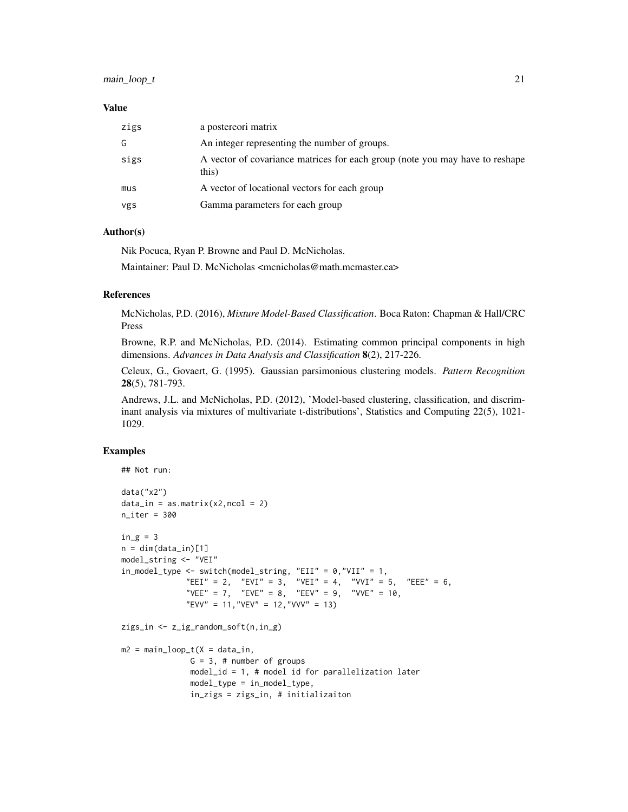## main\_loop\_t 21

#### Value

| zigs | a postereori matrix                                                                   |
|------|---------------------------------------------------------------------------------------|
| G    | An integer representing the number of groups.                                         |
| sigs | A vector of covariance matrices for each group (note you may have to reshape<br>this) |
| mus  | A vector of locational vectors for each group                                         |
| vgs  | Gamma parameters for each group                                                       |

## Author(s)

Nik Pocuca, Ryan P. Browne and Paul D. McNicholas. Maintainer: Paul D. McNicholas <mcnicholas@math.mcmaster.ca>

#### References

McNicholas, P.D. (2016), *Mixture Model-Based Classification*. Boca Raton: Chapman & Hall/CRC Press

Browne, R.P. and McNicholas, P.D. (2014). Estimating common principal components in high dimensions. *Advances in Data Analysis and Classification* 8(2), 217-226.

Celeux, G., Govaert, G. (1995). Gaussian parsimonious clustering models. *Pattern Recognition* 28(5), 781-793.

Andrews, J.L. and McNicholas, P.D. (2012), 'Model-based clustering, classification, and discriminant analysis via mixtures of multivariate t-distributions', Statistics and Computing 22(5), 1021- 1029.

## Examples

```
## Not run:
data("x2")
data_in = as_matrix(x2,ncol = 2)n<sub>-</sub>iter = 300
in_g = 3n = dim(data_in)[1]model_string <- "VEI"
in_model_type <- switch(model_string, "EII" = 0, "VII" = 1,
              "EEI" = 2, "EVI" = 3, "VEI" = 4, "VVI" = 5, "EEE" = 6,
              "VEE" = 7, "EVE" = 8, "EEV" = 9, "VVE" = 10,
              "EVV" = 11, "VEV" = 12, "VVV" = 13)
zigs_in <- z_ig_random_soft(n,in_g)
m2 = main\_loop_t(X = data_in,G = 3, # number of groups
               model_id = 1, # model id for parallelization later
               model_type = in_model_type,
               in_zigs = zigs_in, # initializaiton
```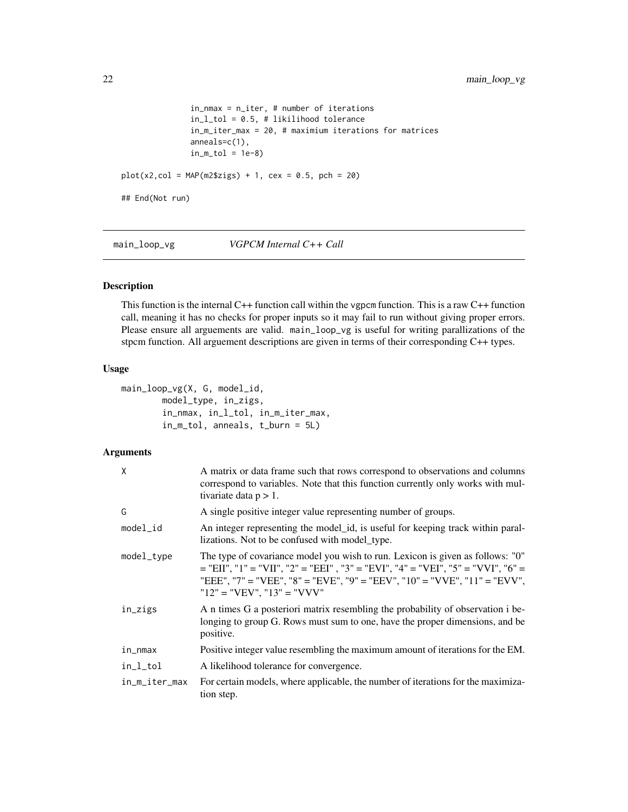```
in_nmax = n_iter, # number of iterations
               in_l_tol = 0.5, # likilihood tolerance
               in_m_iter_max = 20, # maximium iterations for matrices
               anneals=c(1),
               in_m\_tol = 1e-8plot(x2, col = MAP(m2$zigs) + 1, cex = 0.5, pch = 20)## End(Not run)
```
main\_loop\_vg *VGPCM Internal C++ Call*

## Description

This function is the internal C++ function call within the vgpcm function. This is a raw C++ function call, meaning it has no checks for proper inputs so it may fail to run without giving proper errors. Please ensure all arguements are valid. main\_loop\_vg is useful for writing parallizations of the stpcm function. All arguement descriptions are given in terms of their corresponding C++ types.

#### Usage

```
main_loop_vg(X, G, model_id,
       model_type, in_zigs,
       in_nmax, in_l_tol, in_m_iter_max,
       in_m_tol, anneals, t_burn = 5L)
```
## Arguments

| X             | A matrix or data frame such that rows correspond to observations and columns<br>correspond to variables. Note that this function currently only works with mul-<br>tivariate data $p > 1$ .                                                                                       |
|---------------|-----------------------------------------------------------------------------------------------------------------------------------------------------------------------------------------------------------------------------------------------------------------------------------|
| G             | A single positive integer value representing number of groups.                                                                                                                                                                                                                    |
| $model_id$    | An integer representing the model_id, is useful for keeping track within paral-<br>lizations. Not to be confused with model_type.                                                                                                                                                 |
| model_type    | The type of covariance model you wish to run. Lexicon is given as follows: "0"<br>$=$ "EII", "1" = "VII", "2" = "EEI", "3" = "EVI", "4" = "VEI", "5" = "VVI", "6" =<br>"EEE", "7" = "VEE", "8" = "EVE", "9" = "EEV", "10" = "VVE", "11" = "EVV",<br>" $12" = "VEV", "13" = "VVV"$ |
| in_zigs       | A n times G a posteriori matrix resembling the probability of observation i be-<br>longing to group G. Rows must sum to one, have the proper dimensions, and be<br>positive.                                                                                                      |
| in_nmax       | Positive integer value resembling the maximum amount of iterations for the EM.                                                                                                                                                                                                    |
| in_l_tol      | A likelihood tolerance for convergence.                                                                                                                                                                                                                                           |
| in_m_iter_max | For certain models, where applicable, the number of iterations for the maximiza-<br>tion step.                                                                                                                                                                                    |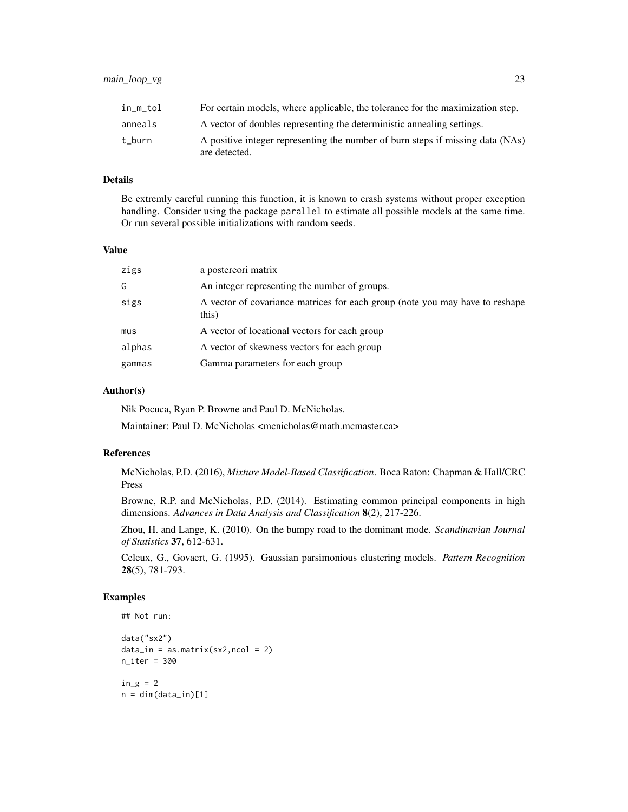| in_m_tol | For certain models, where applicable, the tolerance for the maximization step.                  |
|----------|-------------------------------------------------------------------------------------------------|
| anneals  | A vector of doubles representing the deterministic annealing settings.                          |
| t burn   | A positive integer representing the number of burn steps if missing data (NAs)<br>are detected. |

## Details

Be extremly careful running this function, it is known to crash systems without proper exception handling. Consider using the package parallel to estimate all possible models at the same time. Or run several possible initializations with random seeds.

#### Value

| zigs   | a postereori matrix                                                                   |
|--------|---------------------------------------------------------------------------------------|
| G      | An integer representing the number of groups.                                         |
| sigs   | A vector of covariance matrices for each group (note you may have to reshape<br>this) |
| mus    | A vector of locational vectors for each group                                         |
| alphas | A vector of skewness vectors for each group                                           |
| gammas | Gamma parameters for each group                                                       |

## Author(s)

Nik Pocuca, Ryan P. Browne and Paul D. McNicholas.

Maintainer: Paul D. McNicholas <mcnicholas@math.mcmaster.ca>

#### References

McNicholas, P.D. (2016), *Mixture Model-Based Classification*. Boca Raton: Chapman & Hall/CRC Press

Browne, R.P. and McNicholas, P.D. (2014). Estimating common principal components in high dimensions. *Advances in Data Analysis and Classification* 8(2), 217-226.

Zhou, H. and Lange, K. (2010). On the bumpy road to the dominant mode. *Scandinavian Journal of Statistics* 37, 612-631.

Celeux, G., Govaert, G. (1995). Gaussian parsimonious clustering models. *Pattern Recognition* 28(5), 781-793.

## Examples

```
## Not run:
data("sx2")
data_in = as_matrix(sx2,ncol = 2)n_iter = 300
in_g = 2n = dim(data_in)[1]
```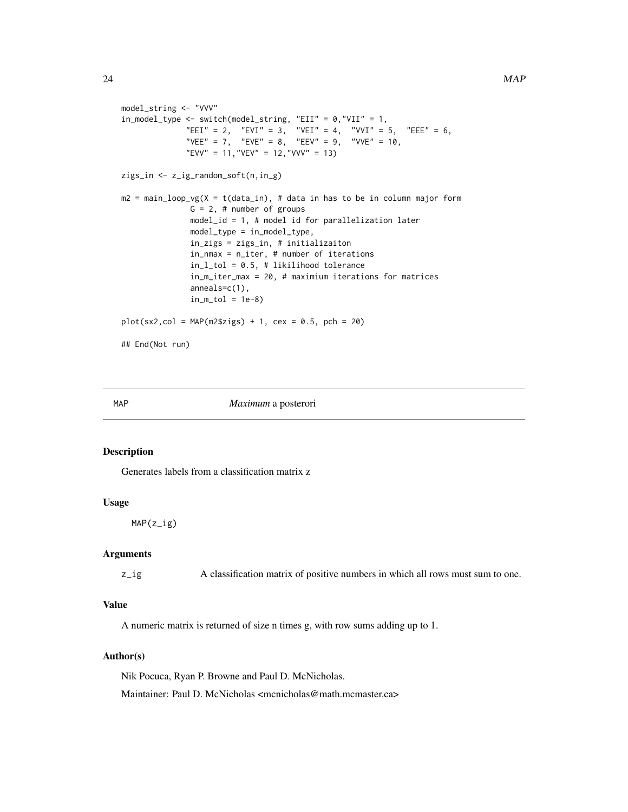```
model_string <- "VVV"
in_model_type <- switch(model_string, "EII" = 0,"VII" = 1,
              "EEI" = 2, "EVI" = 3, "VEI" = 4, "VVI" = 5, "EEE" = 6,
              "VEE" = 7, "EVE" = 8, "EEV" = 9, "VVE" = 10,
              "EVV" = 11, "VEV" = 12, "VVV" = 13)
zigs_in <- z_ig_random_soft(n,in_g)
m2 = main\_loop\_vg(X = t(data_in), # data in has to be in column major formG = 2, # number of groups
               model_id = 1, # model id for parallelization later
               model_type = in_model_type,
               in_zigs = zigs_in, # initializaiton
               in_nmax = n_iter, # number of iterations
               in_l_tol = 0.5, # likilihood tolerance
               in_m_iter_max = 20, # maximium iterations for matrices
               anneals=c(1),
               in_m\_tol = 1e-8plot(sx2, col = MAP(m2$zigs) + 1, cex = 0.5, pch = 20)## End(Not run)
```
#### MAP *Maximum* a posterori

#### Description

Generates labels from a classification matrix z

#### Usage

MAP(z\_ig)

#### Arguments

z\_ig A classification matrix of positive numbers in which all rows must sum to one.

## Value

A numeric matrix is returned of size n times g, with row sums adding up to 1.

#### Author(s)

Nik Pocuca, Ryan P. Browne and Paul D. McNicholas. Maintainer: Paul D. McNicholas <mcnicholas@math.mcmaster.ca>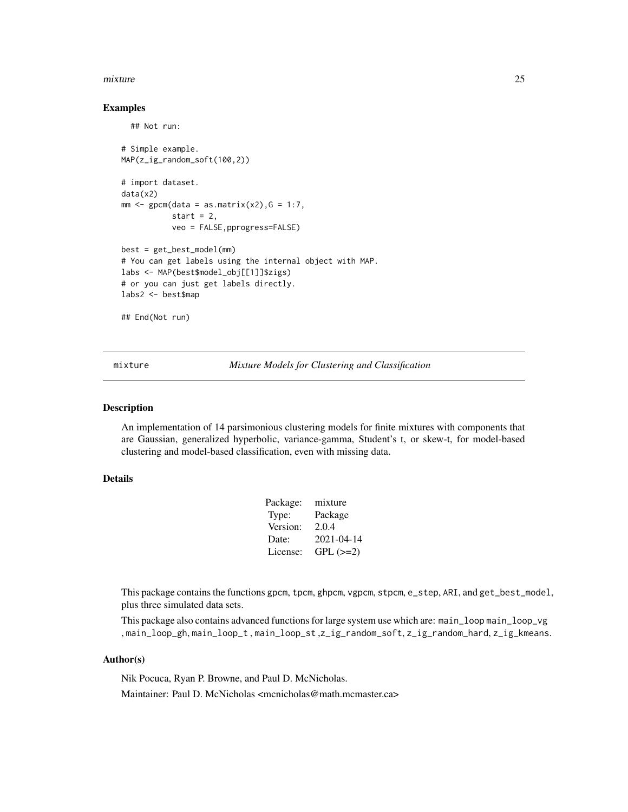#### <span id="page-24-0"></span>mixture 25

#### Examples

```
## Not run:
# Simple example.
MAP(z_ig_random_soft(100,2))
# import dataset.
data(x2)
mm < - gpcm(data = as.matrix(x2), G = 1:7,
           start = 2,
           veo = FALSE,pprogress=FALSE)
best = get_best_model(mm)
# You can get labels using the internal object with MAP.
labs <- MAP(best$model_obj[[1]]$zigs)
# or you can just get labels directly.
labs2 <- best$map
## End(Not run)
```
mixture *Mixture Models for Clustering and Classification*

#### Description

An implementation of 14 parsimonious clustering models for finite mixtures with components that are Gaussian, generalized hyperbolic, variance-gamma, Student's t, or skew-t, for model-based clustering and model-based classification, even with missing data.

#### Details

| Package: | mixture    |
|----------|------------|
| Type:    | Package    |
| Version: | 2.0.4      |
| Date:    | 2021-04-14 |
| License: | $GPL (=2)$ |
|          |            |

This package contains the functions gpcm, tpcm, ghpcm, vgpcm, stpcm, e\_step, ARI, and get\_best\_model, plus three simulated data sets.

This package also contains advanced functions for large system use which are: main\_loop main\_loop\_vg , main\_loop\_gh, main\_loop\_t , main\_loop\_st ,z\_ig\_random\_soft, z\_ig\_random\_hard, z\_ig\_kmeans.

#### Author(s)

Nik Pocuca, Ryan P. Browne, and Paul D. McNicholas. Maintainer: Paul D. McNicholas <mcnicholas@math.mcmaster.ca>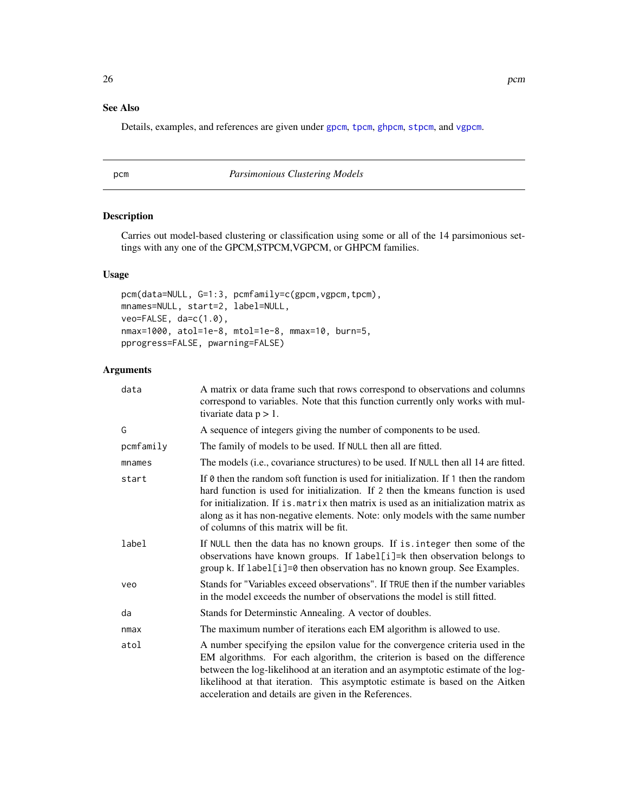## <span id="page-25-0"></span>See Also

Details, examples, and references are given under [gpcm](#page-8-1), [tpcm](#page-31-1), [ghpcm](#page-5-1), [stpcm](#page-27-1), and [vgpcm](#page-34-1).

## pcm *Parsimonious Clustering Models*

## Description

Carries out model-based clustering or classification using some or all of the 14 parsimonious settings with any one of the GPCM,STPCM,VGPCM, or GHPCM families.

#### Usage

```
pcm(data=NULL, G=1:3, pcmfamily=c(gpcm, vgpcm, tpcm),
mnames=NULL, start=2, label=NULL,
veo=FALSE, da=c(1.0),
nmax=1000, atol=1e-8, mtol=1e-8, mmax=10, burn=5,
pprogress=FALSE, pwarning=FALSE)
```
#### Arguments

| data      | A matrix or data frame such that rows correspond to observations and columns<br>correspond to variables. Note that this function currently only works with mul-<br>tivariate data $p > 1$ .                                                                                                                                                                                                  |
|-----------|----------------------------------------------------------------------------------------------------------------------------------------------------------------------------------------------------------------------------------------------------------------------------------------------------------------------------------------------------------------------------------------------|
| Ġ         | A sequence of integers giving the number of components to be used.                                                                                                                                                                                                                                                                                                                           |
| pcmfamily | The family of models to be used. If NULL then all are fitted.                                                                                                                                                                                                                                                                                                                                |
| mnames    | The models (i.e., covariance structures) to be used. If NULL then all 14 are fitted.                                                                                                                                                                                                                                                                                                         |
| start     | If 0 then the random soft function is used for initialization. If 1 then the random<br>hard function is used for initialization. If 2 then the kmeans function is used<br>for initialization. If is matrix then matrix is used as an initialization matrix as<br>along as it has non-negative elements. Note: only models with the same number<br>of columns of this matrix will be fit.     |
| label     | If NULL then the data has no known groups. If is integer then some of the<br>observations have known groups. If label[i]=k then observation belongs to<br>group k. If label[i]=0 then observation has no known group. See Examples.                                                                                                                                                          |
| veo       | Stands for "Variables exceed observations". If TRUE then if the number variables<br>in the model exceeds the number of observations the model is still fitted.                                                                                                                                                                                                                               |
| da        | Stands for Determinstic Annealing. A vector of doubles.                                                                                                                                                                                                                                                                                                                                      |
| nmax      | The maximum number of iterations each EM algorithm is allowed to use.                                                                                                                                                                                                                                                                                                                        |
| atol      | A number specifying the epsilon value for the convergence criteria used in the<br>EM algorithms. For each algorithm, the criterion is based on the difference<br>between the log-likelihood at an iteration and an asymptotic estimate of the log-<br>likelihood at that iteration. This asymptotic estimate is based on the Aitken<br>acceleration and details are given in the References. |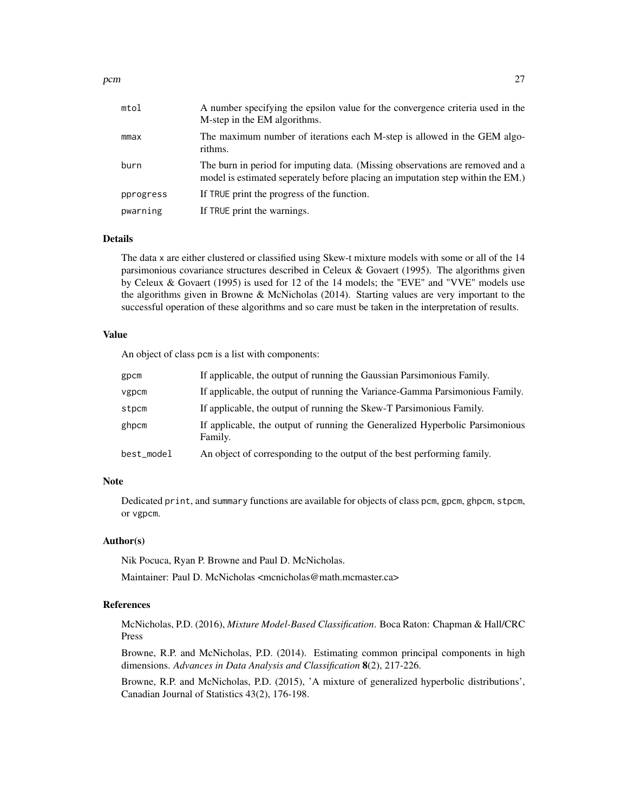| mtol      | A number specifying the epsilon value for the convergence criteria used in the<br>M-step in the EM algorithms.                                                   |
|-----------|------------------------------------------------------------------------------------------------------------------------------------------------------------------|
| mmax      | The maximum number of iterations each M-step is allowed in the GEM algo-<br>rithms.                                                                              |
| burn      | The burn in period for imputing data. (Missing observations are removed and a<br>model is estimated seperately before placing an imputation step within the EM.) |
| pprogress | If TRUE print the progress of the function.                                                                                                                      |
| pwarning  | If TRUE print the warnings.                                                                                                                                      |
|           |                                                                                                                                                                  |

#### Details

The data x are either clustered or classified using Skew-t mixture models with some or all of the 14 parsimonious covariance structures described in Celeux & Govaert (1995). The algorithms given by Celeux & Govaert (1995) is used for 12 of the 14 models; the "EVE" and "VVE" models use the algorithms given in Browne & McNicholas (2014). Starting values are very important to the successful operation of these algorithms and so care must be taken in the interpretation of results.

#### Value

An object of class pcm is a list with components:

| gpcm       | If applicable, the output of running the Gaussian Parsimonious Family.                  |
|------------|-----------------------------------------------------------------------------------------|
| vgpcm      | If applicable, the output of running the Variance-Gamma Parsimonious Family.            |
| stpcm      | If applicable, the output of running the Skew-T Parsimonious Family.                    |
| ghpcm      | If applicable, the output of running the Generalized Hyperbolic Parsimonious<br>Family. |
| best_model | An object of corresponding to the output of the best performing family.                 |

#### Note

Dedicated print, and summary functions are available for objects of class pcm, gpcm, ghpcm, stpcm, or vgpcm.

#### Author(s)

Nik Pocuca, Ryan P. Browne and Paul D. McNicholas.

Maintainer: Paul D. McNicholas <mcnicholas@math.mcmaster.ca>

#### References

McNicholas, P.D. (2016), *Mixture Model-Based Classification*. Boca Raton: Chapman & Hall/CRC Press

Browne, R.P. and McNicholas, P.D. (2014). Estimating common principal components in high dimensions. *Advances in Data Analysis and Classification* 8(2), 217-226.

Browne, R.P. and McNicholas, P.D. (2015), 'A mixture of generalized hyperbolic distributions', Canadian Journal of Statistics 43(2), 176-198.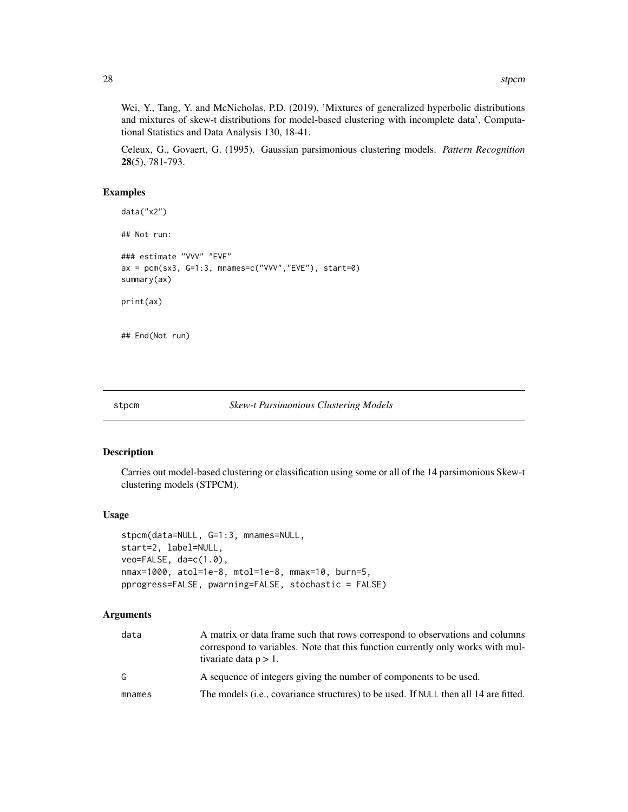<span id="page-27-0"></span>Wei, Y., Tang, Y. and McNicholas, P.D. (2019), 'Mixtures of generalized hyperbolic distributions and mixtures of skew-t distributions for model-based clustering with incomplete data', Computational Statistics and Data Analysis 130, 18-41.

Celeux, G., Govaert, G. (1995). Gaussian parsimonious clustering models. *Pattern Recognition* 28(5), 781-793.

## Examples

```
data("x2")
## Not run:
### estimate "VVV" "EVE"
ax = pcm(sx3, G=1:3, mnames=c("VVV","EVE"), start=0)
summary(ax)
print(ax)
```
## End(Not run)

<span id="page-27-1"></span>

| stpcm | <b>Skew-t Parsimonious Clustering Models</b> |  |  |
|-------|----------------------------------------------|--|--|
|-------|----------------------------------------------|--|--|

## Description

Carries out model-based clustering or classification using some or all of the 14 parsimonious Skew-t clustering models (STPCM).

#### Usage

```
stpcm(data=NULL, G=1:3, mnames=NULL,
start=2, label=NULL,
veo=FALSE, da=c(1.0),
nmax=1000, atol=1e-8, mtol=1e-8, mmax=10, burn=5,
pprogress=FALSE, pwarning=FALSE, stochastic = FALSE)
```
## Arguments

| data   | A matrix or data frame such that rows correspond to observations and columns<br>correspond to variables. Note that this function currently only works with mul-<br>tivariate data $p > 1$ . |
|--------|---------------------------------------------------------------------------------------------------------------------------------------------------------------------------------------------|
| G      | A sequence of integers giving the number of components to be used.                                                                                                                          |
| mnames | The models ( <i>i.e.</i> , covariance structures) to be used. If NULL then all 14 are fitted.                                                                                               |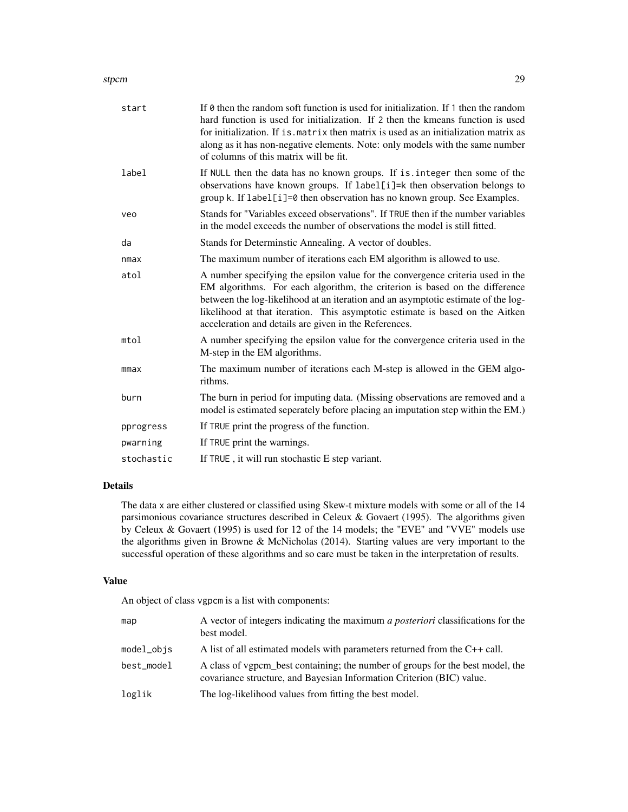#### stpcm 29

| start      | If 0 then the random soft function is used for initialization. If 1 then the random<br>hard function is used for initialization. If 2 then the kmeans function is used<br>for initialization. If is matrix then matrix is used as an initialization matrix as<br>along as it has non-negative elements. Note: only models with the same number<br>of columns of this matrix will be fit.     |
|------------|----------------------------------------------------------------------------------------------------------------------------------------------------------------------------------------------------------------------------------------------------------------------------------------------------------------------------------------------------------------------------------------------|
| label      | If NULL then the data has no known groups. If is integer then some of the<br>observations have known groups. If label[i]=k then observation belongs to<br>group k. If label[i]=0 then observation has no known group. See Examples.                                                                                                                                                          |
| veo        | Stands for "Variables exceed observations". If TRUE then if the number variables<br>in the model exceeds the number of observations the model is still fitted.                                                                                                                                                                                                                               |
| da         | Stands for Determinstic Annealing. A vector of doubles.                                                                                                                                                                                                                                                                                                                                      |
| nmax       | The maximum number of iterations each EM algorithm is allowed to use.                                                                                                                                                                                                                                                                                                                        |
| atol       | A number specifying the epsilon value for the convergence criteria used in the<br>EM algorithms. For each algorithm, the criterion is based on the difference<br>between the log-likelihood at an iteration and an asymptotic estimate of the log-<br>likelihood at that iteration. This asymptotic estimate is based on the Aitken<br>acceleration and details are given in the References. |
| mtol       | A number specifying the epsilon value for the convergence criteria used in the<br>M-step in the EM algorithms.                                                                                                                                                                                                                                                                               |
| mmax       | The maximum number of iterations each M-step is allowed in the GEM algo-<br>rithms.                                                                                                                                                                                                                                                                                                          |
| burn       | The burn in period for imputing data. (Missing observations are removed and a<br>model is estimated seperately before placing an imputation step within the EM.)                                                                                                                                                                                                                             |
| pprogress  | If TRUE print the progress of the function.                                                                                                                                                                                                                                                                                                                                                  |
| pwarning   | If TRUE print the warnings.                                                                                                                                                                                                                                                                                                                                                                  |
| stochastic | If TRUE, it will run stochastic E step variant.                                                                                                                                                                                                                                                                                                                                              |

## Details

The data x are either clustered or classified using Skew-t mixture models with some or all of the 14 parsimonious covariance structures described in Celeux & Govaert (1995). The algorithms given by Celeux & Govaert (1995) is used for 12 of the 14 models; the "EVE" and "VVE" models use the algorithms given in Browne & McNicholas (2014). Starting values are very important to the successful operation of these algorithms and so care must be taken in the interpretation of results.

## Value

An object of class vgpcm is a list with components:

| map          | A vector of integers indicating the maximum <i>a posteriori</i> classifications for the<br>best model.                                                  |
|--------------|---------------------------------------------------------------------------------------------------------------------------------------------------------|
| $model_objs$ | A list of all estimated models with parameters returned from the C++ call.                                                                              |
| best_model   | A class of vgpcm best containing; the number of groups for the best model, the<br>covariance structure, and Bayesian Information Criterion (BIC) value. |
| loglik       | The log-likelihood values from fitting the best model.                                                                                                  |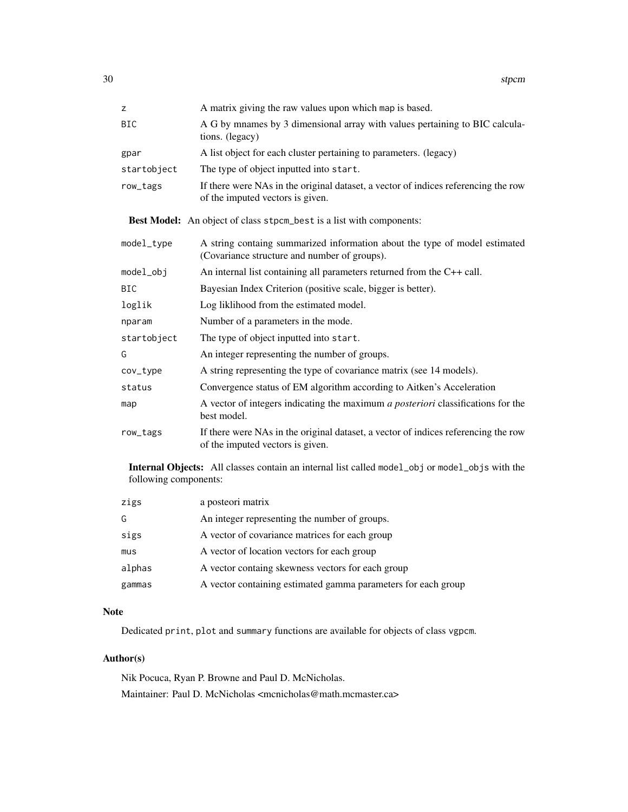| z                                                                                                                              | A matrix giving the raw values upon which map is based.                                                                    |  |
|--------------------------------------------------------------------------------------------------------------------------------|----------------------------------------------------------------------------------------------------------------------------|--|
| <b>BIC</b>                                                                                                                     | A G by mnames by 3 dimensional array with values pertaining to BIC calcula-<br>tions. (legacy)                             |  |
| gpar                                                                                                                           | A list object for each cluster pertaining to parameters. (legacy)                                                          |  |
| startobject                                                                                                                    | The type of object inputted into start.                                                                                    |  |
| row_tags                                                                                                                       | If there were NAs in the original dataset, a vector of indices referencing the row<br>of the imputed vectors is given.     |  |
|                                                                                                                                | Best Model: An object of class stpcm_best is a list with components:                                                       |  |
| model_type                                                                                                                     | A string containg summarized information about the type of model estimated<br>(Covariance structure and number of groups). |  |
| model_obj                                                                                                                      | An internal list containing all parameters returned from the C++ call.                                                     |  |
| <b>BIC</b>                                                                                                                     | Bayesian Index Criterion (positive scale, bigger is better).                                                               |  |
| loglik                                                                                                                         | Log liklihood from the estimated model.                                                                                    |  |
| nparam                                                                                                                         | Number of a parameters in the mode.                                                                                        |  |
| startobject                                                                                                                    | The type of object inputted into start.                                                                                    |  |
| G                                                                                                                              | An integer representing the number of groups.                                                                              |  |
| cov_type                                                                                                                       | A string representing the type of covariance matrix (see 14 models).                                                       |  |
| status                                                                                                                         | Convergence status of EM algorithm according to Aitken's Acceleration                                                      |  |
| map                                                                                                                            | A vector of integers indicating the maximum <i>a posteriori</i> classifications for the<br>best model.                     |  |
| row_tags                                                                                                                       | If there were NAs in the original dataset, a vector of indices referencing the row<br>of the imputed vectors is given.     |  |
| <b>Internal Objects:</b> All classes contain an internal list called model_obj or model_objs with the<br>following components: |                                                                                                                            |  |

| zigs   | a posteori matrix                                             |
|--------|---------------------------------------------------------------|
| G      | An integer representing the number of groups.                 |
| sigs   | A vector of covariance matrices for each group                |
| mus    | A vector of location vectors for each group                   |
| alphas | A vector containg skewness vectors for each group             |
| gammas | A vector containing estimated gamma parameters for each group |

## Note

Dedicated print, plot and summary functions are available for objects of class vgpcm.

## Author(s)

Nik Pocuca, Ryan P. Browne and Paul D. McNicholas. Maintainer: Paul D. McNicholas <mcnicholas@math.mcmaster.ca>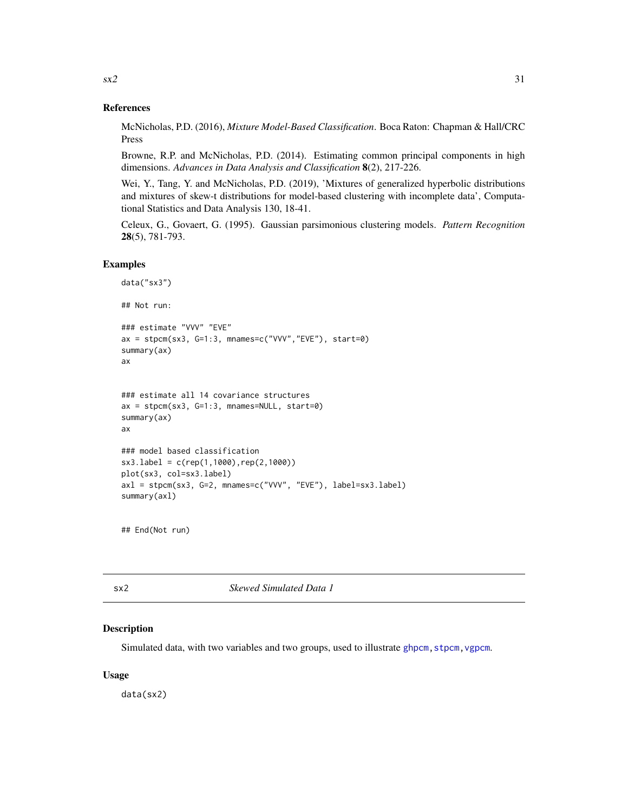#### References

McNicholas, P.D. (2016), *Mixture Model-Based Classification*. Boca Raton: Chapman & Hall/CRC Press

Browne, R.P. and McNicholas, P.D. (2014). Estimating common principal components in high dimensions. *Advances in Data Analysis and Classification* 8(2), 217-226.

Wei, Y., Tang, Y. and McNicholas, P.D. (2019), 'Mixtures of generalized hyperbolic distributions and mixtures of skew-t distributions for model-based clustering with incomplete data', Computational Statistics and Data Analysis 130, 18-41.

Celeux, G., Govaert, G. (1995). Gaussian parsimonious clustering models. *Pattern Recognition* 28(5), 781-793.

#### Examples

```
data("sx3")
## Not run:
### estimate "VVV" "EVE"
ax = stpcm(sx3, G=1:3, mnames=c("VVV","EVE"), start=0)
summary(ax)
ax
### estimate all 14 covariance structures
ax = stpcm(sx3, G=1:3, mnames=NULL, start=0)summary(ax)
ax
### model based classification
sx3.label = c(rep(1,1000),rep(2,1000))
plot(sx3, col=sx3.label)
axl = stpcm(sx3, G=2, mnames=c("VVV", "EVE"), label=sx3.label)
summary(axl)
```
## End(Not run)

sx2 *Skewed Simulated Data 1*

#### Description

Simulated data, with two variables and two groups, used to illustrate [ghpcm](#page-5-1), stpcm, vgpcm.

#### Usage

data(sx2)

<span id="page-30-0"></span> $\frac{\text{sx2}}{}$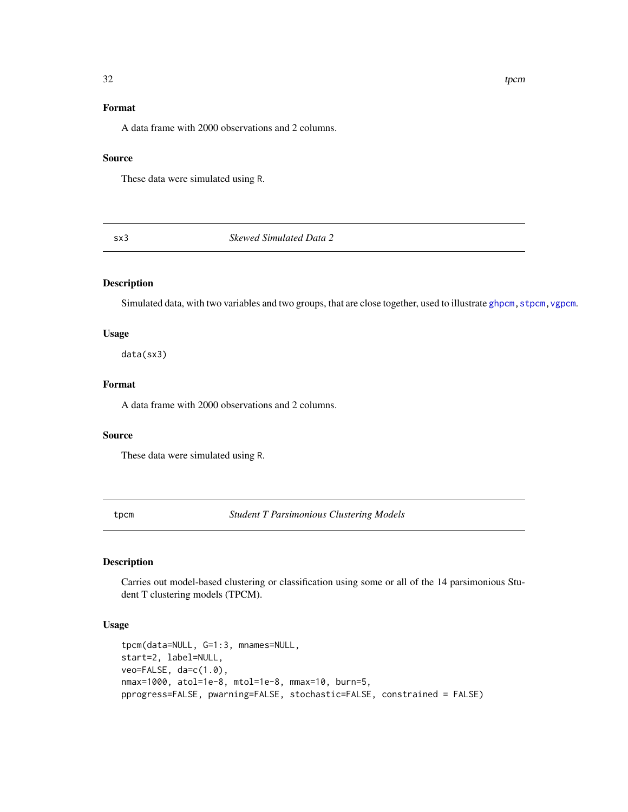## Format

A data frame with 2000 observations and 2 columns.

## Source

These data were simulated using R.

sx3 *Skewed Simulated Data 2*

## Description

Simulated data, with two variables and two groups, that are close together, used to illustrate [ghpcm,](#page-5-1) [stpcm,](#page-27-1) [vgpcm](#page-34-1).

## Usage

data(sx3)

## Format

A data frame with 2000 observations and 2 columns.

#### Source

These data were simulated using R.

<span id="page-31-1"></span>tpcm *Student T Parsimonious Clustering Models*

#### Description

Carries out model-based clustering or classification using some or all of the 14 parsimonious Student T clustering models (TPCM).

## Usage

```
tpcm(data=NULL, G=1:3, mnames=NULL,
start=2, label=NULL,
veo=FALSE, da=c(1.0),
nmax=1000, atol=1e-8, mtol=1e-8, mmax=10, burn=5,
pprogress=FALSE, pwarning=FALSE, stochastic=FALSE, constrained = FALSE)
```
<span id="page-31-0"></span> $32$  tpcm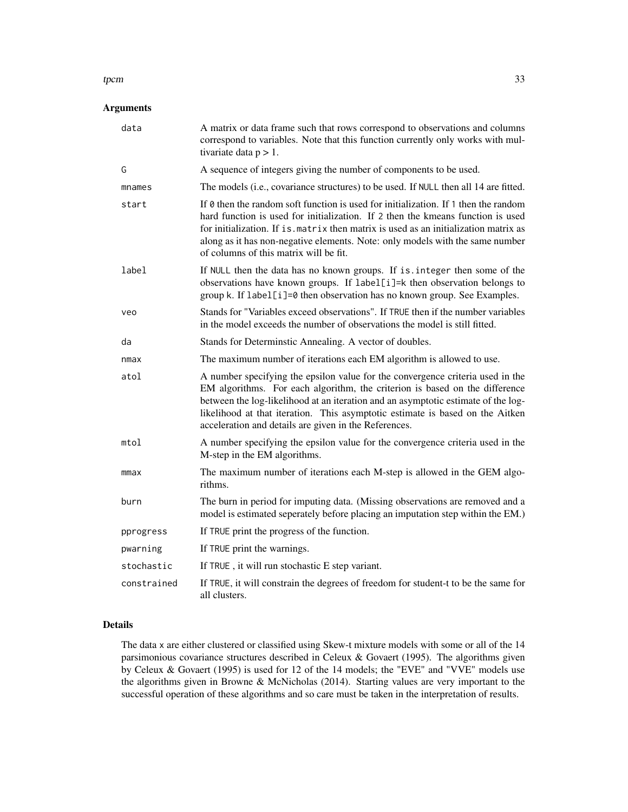#### $t$ pcm  $33$

## Arguments

| data        | A matrix or data frame such that rows correspond to observations and columns<br>correspond to variables. Note that this function currently only works with mul-<br>tivariate data $p > 1$ .                                                                                                                                                                                                     |
|-------------|-------------------------------------------------------------------------------------------------------------------------------------------------------------------------------------------------------------------------------------------------------------------------------------------------------------------------------------------------------------------------------------------------|
| G           | A sequence of integers giving the number of components to be used.                                                                                                                                                                                                                                                                                                                              |
| mnames      | The models (i.e., covariance structures) to be used. If NULL then all 14 are fitted.                                                                                                                                                                                                                                                                                                            |
| start       | If $\theta$ then the random soft function is used for initialization. If 1 then the random<br>hard function is used for initialization. If 2 then the kmeans function is used<br>for initialization. If is matrix then matrix is used as an initialization matrix as<br>along as it has non-negative elements. Note: only models with the same number<br>of columns of this matrix will be fit. |
| label       | If NULL then the data has no known groups. If is integer then some of the<br>observations have known groups. If label[i]=k then observation belongs to<br>group k. If label[i]=0 then observation has no known group. See Examples.                                                                                                                                                             |
| veo         | Stands for "Variables exceed observations". If TRUE then if the number variables<br>in the model exceeds the number of observations the model is still fitted.                                                                                                                                                                                                                                  |
| da          | Stands for Determinstic Annealing. A vector of doubles.                                                                                                                                                                                                                                                                                                                                         |
| nmax        | The maximum number of iterations each EM algorithm is allowed to use.                                                                                                                                                                                                                                                                                                                           |
| atol        | A number specifying the epsilon value for the convergence criteria used in the<br>EM algorithms. For each algorithm, the criterion is based on the difference<br>between the log-likelihood at an iteration and an asymptotic estimate of the log-<br>likelihood at that iteration. This asymptotic estimate is based on the Aitken<br>acceleration and details are given in the References.    |
| mtol        | A number specifying the epsilon value for the convergence criteria used in the<br>M-step in the EM algorithms.                                                                                                                                                                                                                                                                                  |
| mmax        | The maximum number of iterations each M-step is allowed in the GEM algo-<br>rithms.                                                                                                                                                                                                                                                                                                             |
| burn        | The burn in period for imputing data. (Missing observations are removed and a<br>model is estimated seperately before placing an imputation step within the EM.)                                                                                                                                                                                                                                |
| pprogress   | If TRUE print the progress of the function.                                                                                                                                                                                                                                                                                                                                                     |
| pwarning    | If TRUE print the warnings.                                                                                                                                                                                                                                                                                                                                                                     |
| stochastic  | If TRUE, it will run stochastic E step variant.                                                                                                                                                                                                                                                                                                                                                 |
| constrained | If TRUE, it will constrain the degrees of freedom for student-t to be the same for<br>all clusters.                                                                                                                                                                                                                                                                                             |

#### Details

The data x are either clustered or classified using Skew-t mixture models with some or all of the 14 parsimonious covariance structures described in Celeux & Govaert (1995). The algorithms given by Celeux & Govaert (1995) is used for 12 of the 14 models; the "EVE" and "VVE" models use the algorithms given in Browne & McNicholas (2014). Starting values are very important to the successful operation of these algorithms and so care must be taken in the interpretation of results.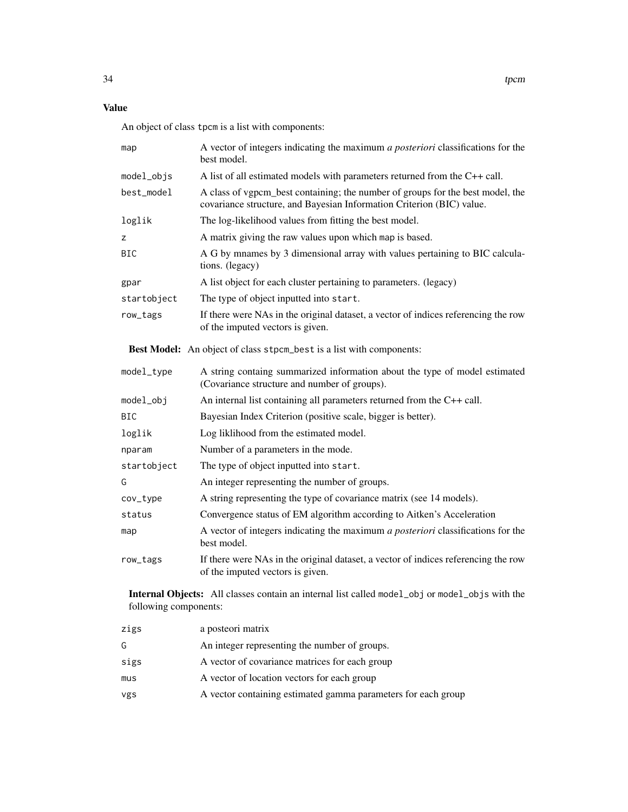## Value

An object of class tpcm is a list with components:

| map         | A vector of integers indicating the maximum <i>a posteriori</i> classifications for the<br>best model.                                                  |  |
|-------------|---------------------------------------------------------------------------------------------------------------------------------------------------------|--|
| model_objs  | A list of all estimated models with parameters returned from the C++ call.                                                                              |  |
| best_model  | A class of vgpcm best containing; the number of groups for the best model, the<br>covariance structure, and Bayesian Information Criterion (BIC) value. |  |
| loglik      | The log-likelihood values from fitting the best model.                                                                                                  |  |
| z           | A matrix giving the raw values upon which map is based.                                                                                                 |  |
| <b>BIC</b>  | A G by mnames by 3 dimensional array with values pertaining to BIC calcula-<br>tions. (legacy)                                                          |  |
| gpar        | A list object for each cluster pertaining to parameters. (legacy)                                                                                       |  |
| startobject | The type of object inputted into start.                                                                                                                 |  |
| row_tags    | If there were NAs in the original dataset, a vector of indices referencing the row<br>of the imputed vectors is given.                                  |  |
|             | Best Model: An object of class stpcm_best is a list with components:                                                                                    |  |
| model_type  | A string containg summarized information about the type of model estimated                                                                              |  |

|             | It cannot contain communicate information woods the specificated<br>(Covariance structure and number of groups).       |  |
|-------------|------------------------------------------------------------------------------------------------------------------------|--|
| model_obj   | An internal list containing all parameters returned from the $C++$ call.                                               |  |
| BIC         | Bayesian Index Criterion (positive scale, bigger is better).                                                           |  |
| loglik      | Log liklihood from the estimated model.                                                                                |  |
| nparam      | Number of a parameters in the mode.                                                                                    |  |
| startobject | The type of object inputted into start.                                                                                |  |
| G           | An integer representing the number of groups.                                                                          |  |
| cov_type    | A string representing the type of covariance matrix (see 14 models).                                                   |  |
| status      | Convergence status of EM algorithm according to Aitken's Acceleration                                                  |  |
| map         | A vector of integers indicating the maximum a posteriori classifications for the<br>best model.                        |  |
| row_tags    | If there were NAs in the original dataset, a vector of indices referencing the row<br>of the imputed vectors is given. |  |

Internal Objects: All classes contain an internal list called model\_obj or model\_objs with the following components:

| zigs | a posteori matrix                                             |
|------|---------------------------------------------------------------|
| G    | An integer representing the number of groups.                 |
| sigs | A vector of covariance matrices for each group                |
| mus  | A vector of location vectors for each group                   |
| vgs  | A vector containing estimated gamma parameters for each group |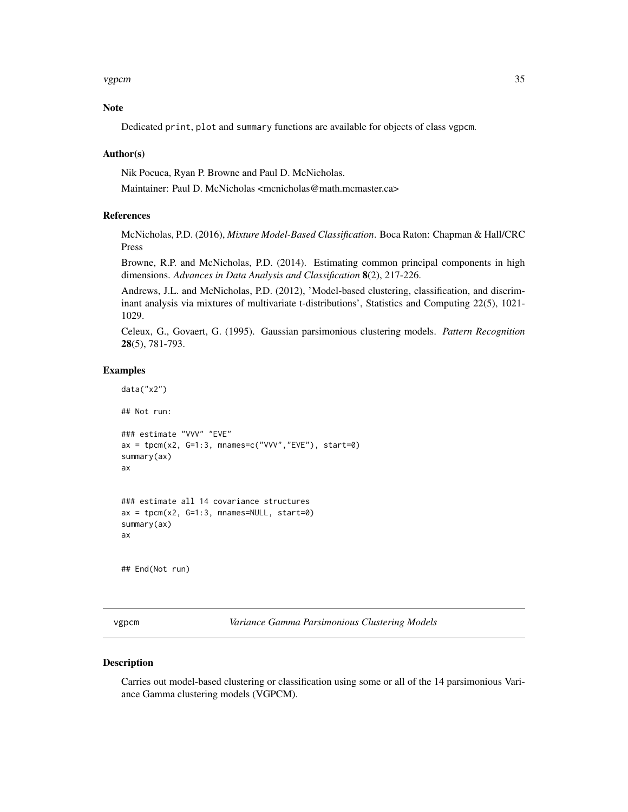#### <span id="page-34-0"></span>vgpcm 35

## Note

Dedicated print, plot and summary functions are available for objects of class vgpcm.

#### Author(s)

Nik Pocuca, Ryan P. Browne and Paul D. McNicholas.

Maintainer: Paul D. McNicholas <mcnicholas@math.mcmaster.ca>

#### References

McNicholas, P.D. (2016), *Mixture Model-Based Classification*. Boca Raton: Chapman & Hall/CRC Press

Browne, R.P. and McNicholas, P.D. (2014). Estimating common principal components in high dimensions. *Advances in Data Analysis and Classification* 8(2), 217-226.

Andrews, J.L. and McNicholas, P.D. (2012), 'Model-based clustering, classification, and discriminant analysis via mixtures of multivariate t-distributions', Statistics and Computing 22(5), 1021- 1029.

Celeux, G., Govaert, G. (1995). Gaussian parsimonious clustering models. *Pattern Recognition* 28(5), 781-793.

#### Examples

data("x2")

## Not run:

```
### estimate "VVV" "EVE"
ax = tpcm(x2, G=1:3, mnames=c("VVV", "EVE"), start=0)summary(ax)
ax
```

```
### estimate all 14 covariance structures
ax = tpcm(x2, G=1:3, mnames=NULL, start=0)summary(ax)
ax
```
## End(Not run)

<span id="page-34-1"></span>vgpcm *Variance Gamma Parsimonious Clustering Models*

#### Description

Carries out model-based clustering or classification using some or all of the 14 parsimonious Variance Gamma clustering models (VGPCM).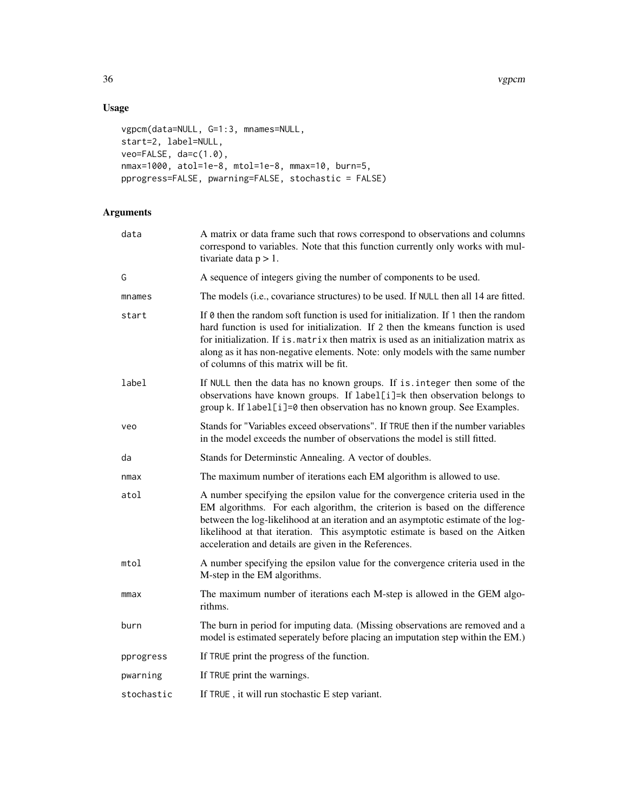36 vgpcm

## Usage

```
vgpcm(data=NULL, G=1:3, mnames=NULL,
start=2, label=NULL,
veo=FALSE, da=c(1.0),
nmax=1000, atol=1e-8, mtol=1e-8, mmax=10, burn=5,
pprogress=FALSE, pwarning=FALSE, stochastic = FALSE)
```
## Arguments

| data       | A matrix or data frame such that rows correspond to observations and columns<br>correspond to variables. Note that this function currently only works with mul-<br>tivariate data $p > 1$ .                                                                                                                                                                                                     |  |
|------------|-------------------------------------------------------------------------------------------------------------------------------------------------------------------------------------------------------------------------------------------------------------------------------------------------------------------------------------------------------------------------------------------------|--|
| G          | A sequence of integers giving the number of components to be used.                                                                                                                                                                                                                                                                                                                              |  |
| mnames     | The models (i.e., covariance structures) to be used. If NULL then all 14 are fitted.                                                                                                                                                                                                                                                                                                            |  |
| start      | If $\theta$ then the random soft function is used for initialization. If 1 then the random<br>hard function is used for initialization. If 2 then the kmeans function is used<br>for initialization. If is matrix then matrix is used as an initialization matrix as<br>along as it has non-negative elements. Note: only models with the same number<br>of columns of this matrix will be fit. |  |
| label      | If NULL then the data has no known groups. If is . integer then some of the<br>observations have known groups. If label[i]=k then observation belongs to<br>group k. If label[i]=0 then observation has no known group. See Examples.                                                                                                                                                           |  |
| veo        | Stands for "Variables exceed observations". If TRUE then if the number variables<br>in the model exceeds the number of observations the model is still fitted.                                                                                                                                                                                                                                  |  |
| da         | Stands for Determinstic Annealing. A vector of doubles.                                                                                                                                                                                                                                                                                                                                         |  |
| nmax       | The maximum number of iterations each EM algorithm is allowed to use.                                                                                                                                                                                                                                                                                                                           |  |
| atol       | A number specifying the epsilon value for the convergence criteria used in the<br>EM algorithms. For each algorithm, the criterion is based on the difference<br>between the log-likelihood at an iteration and an asymptotic estimate of the log-<br>likelihood at that iteration. This asymptotic estimate is based on the Aitken<br>acceleration and details are given in the References.    |  |
| mtol       | A number specifying the epsilon value for the convergence criteria used in the<br>M-step in the EM algorithms.                                                                                                                                                                                                                                                                                  |  |
| mmax       | The maximum number of iterations each M-step is allowed in the GEM algo-<br>rithms.                                                                                                                                                                                                                                                                                                             |  |
| burn       | The burn in period for imputing data. (Missing observations are removed and a<br>model is estimated seperately before placing an imputation step within the EM.)                                                                                                                                                                                                                                |  |
| pprogress  | If TRUE print the progress of the function.                                                                                                                                                                                                                                                                                                                                                     |  |
| pwarning   | If TRUE print the warnings.                                                                                                                                                                                                                                                                                                                                                                     |  |
| stochastic | If TRUE, it will run stochastic E step variant.                                                                                                                                                                                                                                                                                                                                                 |  |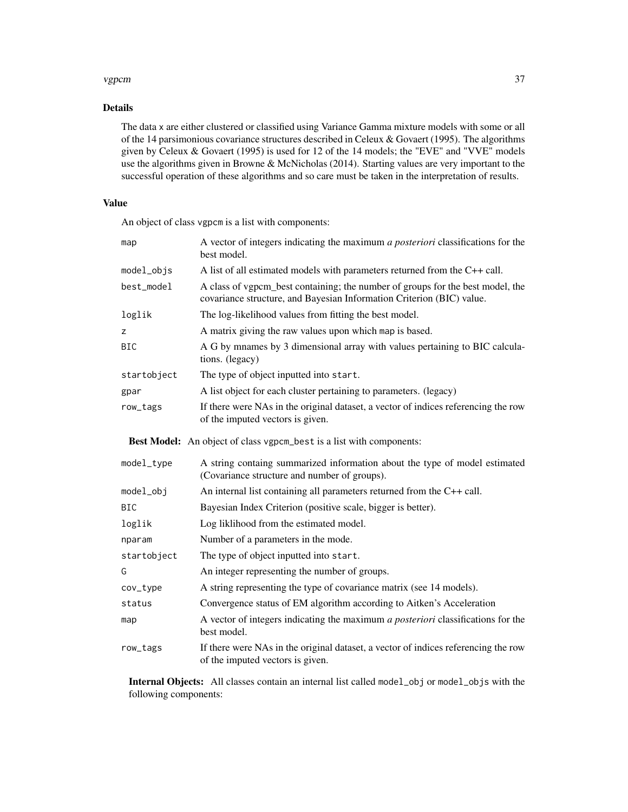#### vgpcm 37

## Details

The data x are either clustered or classified using Variance Gamma mixture models with some or all of the 14 parsimonious covariance structures described in Celeux & Govaert (1995). The algorithms given by Celeux & Govaert (1995) is used for 12 of the 14 models; the "EVE" and "VVE" models use the algorithms given in Browne & McNicholas (2014). Starting values are very important to the successful operation of these algorithms and so care must be taken in the interpretation of results.

## Value

An object of class vgpcm is a list with components:

| map         | A vector of integers indicating the maximum a posteriori classifications for the<br>best model.                                                         |  |
|-------------|---------------------------------------------------------------------------------------------------------------------------------------------------------|--|
| model_objs  | A list of all estimated models with parameters returned from the $C++$ call.                                                                            |  |
| best_model  | A class of vgpcm_best containing; the number of groups for the best model, the<br>covariance structure, and Bayesian Information Criterion (BIC) value. |  |
| loglik      | The log-likelihood values from fitting the best model.                                                                                                  |  |
| z           | A matrix giving the raw values upon which map is based.                                                                                                 |  |
| <b>BIC</b>  | A G by mnames by 3 dimensional array with values pertaining to BIC calcula-<br>tions. (legacy)                                                          |  |
| startobject | The type of object inputted into start.                                                                                                                 |  |
| gpar        | A list object for each cluster pertaining to parameters. (legacy)                                                                                       |  |
| row_tags    | If there were NAs in the original dataset, a vector of indices referencing the row<br>of the imputed vectors is given.                                  |  |
|             | Best Model: An object of class vgpcm_best is a list with components:                                                                                    |  |
| model_type  | A string containg summarized information about the type of model estimated<br>(Covariance structure and number of groups).                              |  |
| model_obj   | An internal list containing all parameters returned from the $C++$ call.                                                                                |  |
| <b>BIC</b>  | Bayesian Index Criterion (positive scale, bigger is better).                                                                                            |  |
| loglik      | Log liklihood from the estimated model.                                                                                                                 |  |
| nparam      | Number of a parameters in the mode.                                                                                                                     |  |
| startobject | The type of object inputted into start.                                                                                                                 |  |
| G           | An integer representing the number of groups.                                                                                                           |  |
| cov_type    | A string representing the type of covariance matrix (see 14 models).                                                                                    |  |
| status      | Convergence status of EM algorithm according to Aitken's Acceleration                                                                                   |  |
| map         | A vector of integers indicating the maximum a posteriori classifications for the<br>best model.                                                         |  |
| row_tags    | If there were NAs in the original dataset, a vector of indices referencing the row<br>of the imputed vectors is given.                                  |  |

Internal Objects: All classes contain an internal list called model\_obj or model\_objs with the following components: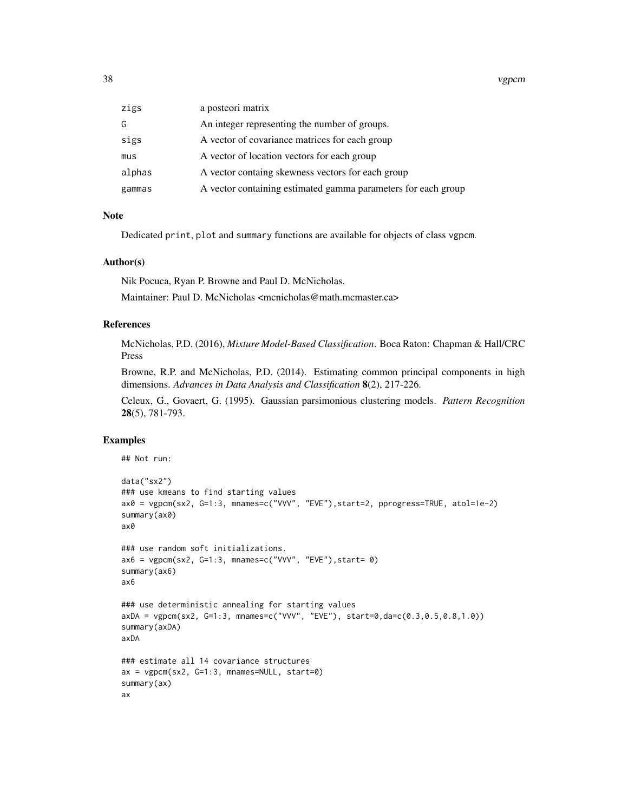| a posteori matrix<br>zigs                                               |  |
|-------------------------------------------------------------------------|--|
| An integer representing the number of groups.<br>G                      |  |
| A vector of covariance matrices for each group<br>sigs                  |  |
| A vector of location vectors for each group<br>mus                      |  |
| alphas<br>A vector containg skewness vectors for each group             |  |
| A vector containing estimated gamma parameters for each group<br>gammas |  |

#### Note

Dedicated print, plot and summary functions are available for objects of class vgpcm.

#### Author(s)

Nik Pocuca, Ryan P. Browne and Paul D. McNicholas.

Maintainer: Paul D. McNicholas <mcnicholas@math.mcmaster.ca>

#### **References**

McNicholas, P.D. (2016), *Mixture Model-Based Classification*. Boca Raton: Chapman & Hall/CRC Press

Browne, R.P. and McNicholas, P.D. (2014). Estimating common principal components in high dimensions. *Advances in Data Analysis and Classification* 8(2), 217-226.

Celeux, G., Govaert, G. (1995). Gaussian parsimonious clustering models. *Pattern Recognition* 28(5), 781-793.

#### Examples

## Not run:

```
data("sx2")
### use kmeans to find starting values
ax0 = vgpcm(sx2, G=1:3, mnames=c("VVV", "EVE"),start=2, pprogress=TRUE, atol=1e-2)
summary(ax0)
ax0
### use random soft initializations.
ax6 = vgpcm(sx2, G=1:3, manees=c("VVV", "EVE"), start= 0)summary(ax6)
ax6
### use deterministic annealing for starting values
axDA = vgpcm(sx2, G=1:3, mnames=c("VVV", "EVE"), start=0,da=c(0.3,0.5,0.8,1.0))
summary(axDA)
axDA
### estimate all 14 covariance structures
ax = vgpcm(sx2, G=1:3, mnames=NULL, start=0)
summary(ax)
ax
```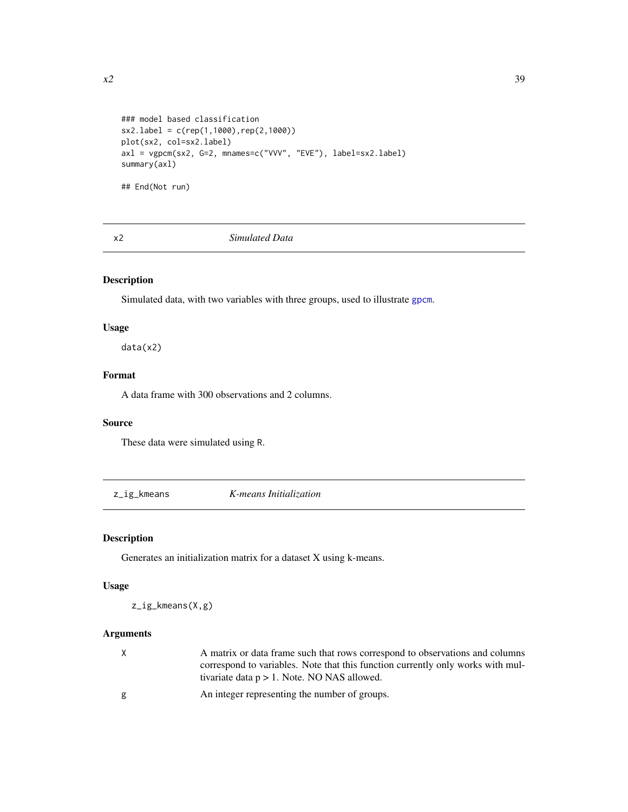```
### model based classification
sx2.label = c(rep(1,1000),rep(2,1000))
plot(sx2, col=sx2.label)
axl = vgpcm(sx2, G=2, mnames=c("VVV", "EVE"), label=sx2.label)
summary(axl)
```
## End(Not run)

x2 *Simulated Data*

## Description

Simulated data, with two variables with three groups, used to illustrate [gpcm](#page-8-1).

## Usage

data(x2)

## Format

A data frame with 300 observations and 2 columns.

### Source

These data were simulated using R.

z\_ig\_kmeans *K-means Initialization*

#### Description

Generates an initialization matrix for a dataset X using k-means.

## Usage

z\_ig\_kmeans(X,g)

## Arguments

| X | A matrix or data frame such that rows correspond to observations and columns    |
|---|---------------------------------------------------------------------------------|
|   | correspond to variables. Note that this function currently only works with mul- |
|   | tivariate data $p > 1$ . Note, NO NAS allowed.                                  |

g An integer representing the number of groups.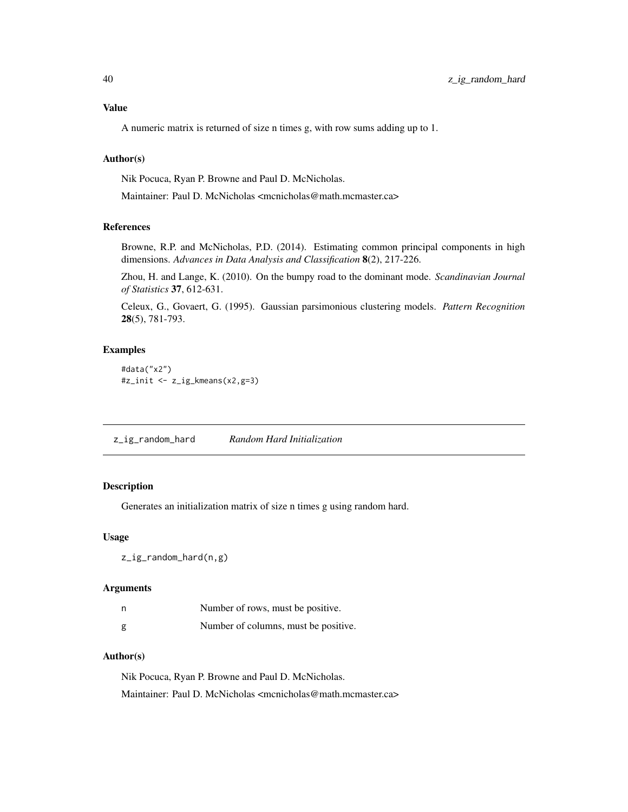## <span id="page-39-0"></span>Value

A numeric matrix is returned of size n times g, with row sums adding up to 1.

#### Author(s)

Nik Pocuca, Ryan P. Browne and Paul D. McNicholas.

Maintainer: Paul D. McNicholas <mcnicholas@math.mcmaster.ca>

## References

Browne, R.P. and McNicholas, P.D. (2014). Estimating common principal components in high dimensions. *Advances in Data Analysis and Classification* 8(2), 217-226.

Zhou, H. and Lange, K. (2010). On the bumpy road to the dominant mode. *Scandinavian Journal of Statistics* 37, 612-631.

Celeux, G., Govaert, G. (1995). Gaussian parsimonious clustering models. *Pattern Recognition* 28(5), 781-793.

## Examples

```
#data("x2")
#z_init <- z_ig_kmeans(x2,g=3)
```
z\_ig\_random\_hard *Random Hard Initialization*

#### Description

Generates an initialization matrix of size n times g using random hard.

#### Usage

```
z_ig_random_hard(n,g)
```
#### Arguments

| n | Number of rows, must be positive.    |
|---|--------------------------------------|
| g | Number of columns, must be positive. |

#### Author(s)

Nik Pocuca, Ryan P. Browne and Paul D. McNicholas. Maintainer: Paul D. McNicholas <mcnicholas@math.mcmaster.ca>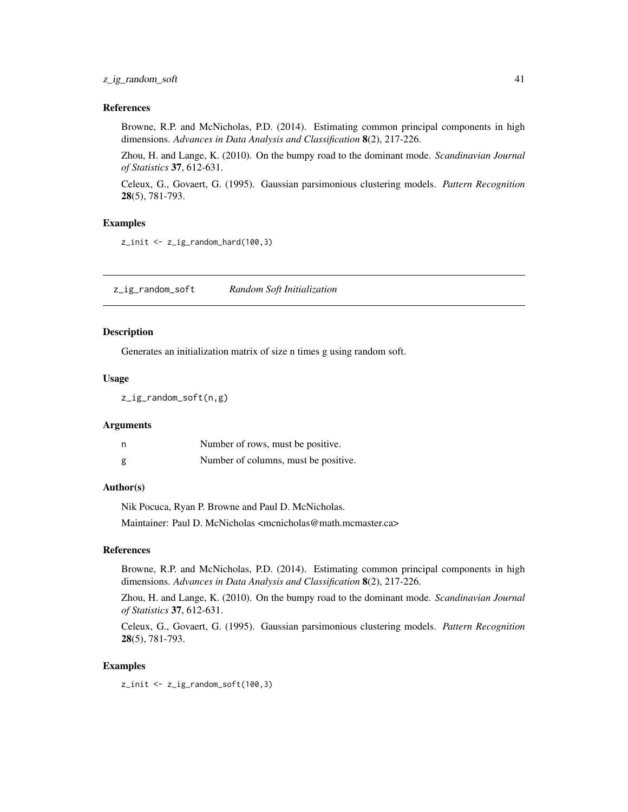#### <span id="page-40-0"></span>References

Browne, R.P. and McNicholas, P.D. (2014). Estimating common principal components in high dimensions. *Advances in Data Analysis and Classification* 8(2), 217-226.

Zhou, H. and Lange, K. (2010). On the bumpy road to the dominant mode. *Scandinavian Journal of Statistics* 37, 612-631.

Celeux, G., Govaert, G. (1995). Gaussian parsimonious clustering models. *Pattern Recognition* 28(5), 781-793.

#### Examples

z\_init <- z\_ig\_random\_hard(100,3)

z\_ig\_random\_soft *Random Soft Initialization*

#### Description

Generates an initialization matrix of size n times g using random soft.

#### Usage

z\_ig\_random\_soft(n,g)

#### Arguments

| n | Number of rows, must be positive.    |
|---|--------------------------------------|
| g | Number of columns, must be positive. |

#### Author(s)

Nik Pocuca, Ryan P. Browne and Paul D. McNicholas.

Maintainer: Paul D. McNicholas <mcnicholas@math.mcmaster.ca>

#### References

Browne, R.P. and McNicholas, P.D. (2014). Estimating common principal components in high dimensions. *Advances in Data Analysis and Classification* 8(2), 217-226.

Zhou, H. and Lange, K. (2010). On the bumpy road to the dominant mode. *Scandinavian Journal of Statistics* 37, 612-631.

Celeux, G., Govaert, G. (1995). Gaussian parsimonious clustering models. *Pattern Recognition* 28(5), 781-793.

#### Examples

z\_init <- z\_ig\_random\_soft(100,3)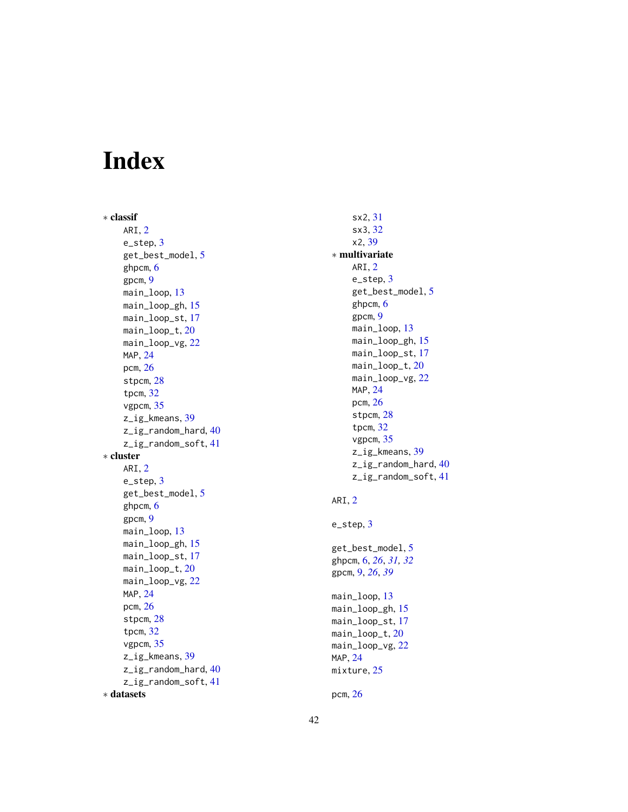# <span id="page-41-0"></span>Index

∗ classif ARI, [2](#page-1-0) e\_step, [3](#page-2-0) get\_best\_model , [5](#page-4-0) ghpcm , [6](#page-5-0) gpcm , [9](#page-8-0) main\_loop , [13](#page-12-0) main\_loop\_gh, 1<mark>5</mark> main\_loop\_st , [17](#page-16-0) main\_loop\_t,[20](#page-19-0) main\_loop\_vg,[22](#page-21-0) MAP, [24](#page-23-0) pcm , [26](#page-25-0) stpcm , [28](#page-27-0) tpcm , [32](#page-31-0) vgpcm , [35](#page-34-0) z\_ig\_kmeans , [39](#page-38-0) z\_ig\_random\_hard , [40](#page-39-0) z\_ig\_random\_soft , [41](#page-40-0) ∗ cluster ARI, [2](#page-1-0) e\_step, [3](#page-2-0) get\_best\_model , [5](#page-4-0) ghpcm , [6](#page-5-0) gpcm , [9](#page-8-0) main\_loop , [13](#page-12-0) main\_loop\_gh, 1<mark>5</mark> main\_loop\_st , [17](#page-16-0) main\_loop\_t,[20](#page-19-0) main\_loop\_vg, [22](#page-21-0) MAP, [24](#page-23-0) pcm , [26](#page-25-0) stpcm , [28](#page-27-0) tpcm , [32](#page-31-0) vgpcm , [35](#page-34-0) z\_ig\_kmeans , [39](#page-38-0) z\_ig\_random\_hard , [40](#page-39-0) z\_ig\_random\_soft , [41](#page-40-0) ∗ datasets

sx2 , [31](#page-30-0) sx3 , [32](#page-31-0) x2 , [39](#page-38-0) ∗ multivariate ARI, [2](#page-1-0) e\_step, [3](#page-2-0) get\_best\_model , [5](#page-4-0) ghpcm , [6](#page-5-0) gpcm , [9](#page-8-0) main\_loop , [13](#page-12-0) main\_loop\_gh , [15](#page-14-0) main\_loop\_st , [17](#page-16-0) main\_loop\_t , [20](#page-19-0) main\_loop\_vg,[22](#page-21-0) MAP, [24](#page-23-0) pcm , [26](#page-25-0) stpcm, [28](#page-27-0) tpcm , [32](#page-31-0) vgpcm , [35](#page-34-0) z\_ig\_kmeans , [39](#page-38-0) z\_ig\_random\_hard, [40](#page-39-0) z\_ig\_random\_soft , [41](#page-40-0) ARI, [2](#page-1-0) e\_step, [3](#page-2-0) get\_best\_model , [5](#page-4-0) ghpcm , [6](#page-5-0) , *[26](#page-25-0)* , *[31](#page-30-0) , [32](#page-31-0)* gpcm , [9](#page-8-0) , *[26](#page-25-0)* , *[39](#page-38-0)* main\_loop , [13](#page-12-0) main\_loop\_gh, 1<mark>5</mark> main\_loop\_st,[17](#page-16-0) main\_loop\_t , [20](#page-19-0) main\_loop\_vg,[22](#page-21-0) MAP, [24](#page-23-0) mixture, $25$ pcm , [26](#page-25-0)